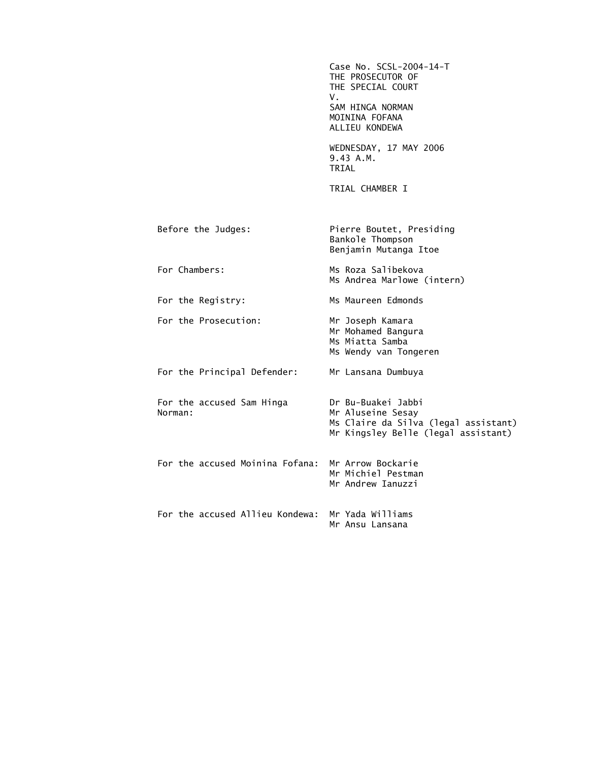Case No. SCSL-2004-14-T THE PROSECUTOR OF THE SPECIAL COURT V. SAM HINGA NORMAN MOININA FOFANA ALLIEU KONDEWA WEDNESDAY, 17 MAY 2006 9.43 A.M. TRIAL TRIAL CHAMBER I Before the Judges: Pierre Boutet, Presiding Bankole Thompson Benjamin Mutanga Itoe For Chambers: Ms Roza Salibekova Ms Andrea Marlowe (intern) For the Registry: Ms Maureen Edmonds For the Prosecution: Mr Joseph Kamara Mr Mohamed Bangura Ms Miatta Samba Ms Wendy van Tongeren For the Principal Defender: Mr Lansana Dumbuya For the accused Sam Hinga Dr Bu-Buakei Jabbi Mr Aluseine Sesay Ms Claire da Silva (legal assistant) Mr Kingsley Belle (legal assistant) For the accused Moinina Fofana: Mr Arrow Bockarie Mr Michiel Pestman Mr Andrew Ianuzzi For the accused Allieu Kondewa: Mr Yada Williams Mr Ansu Lansana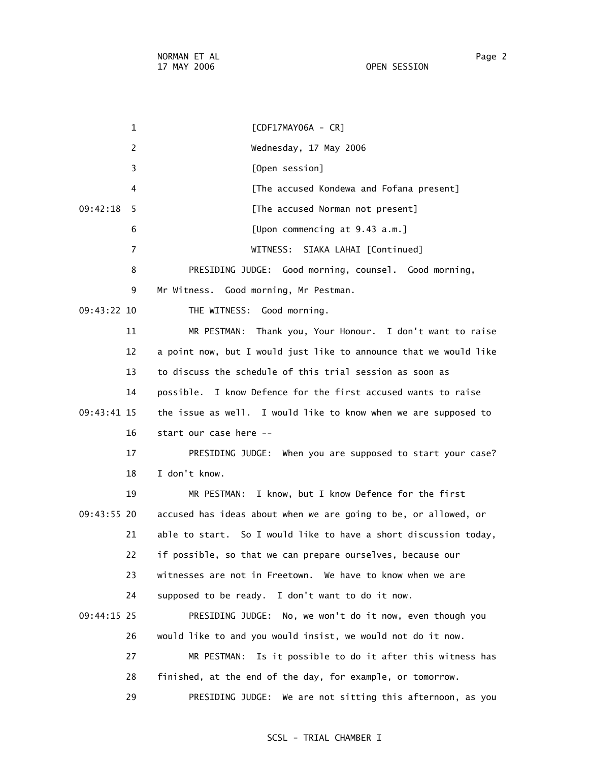1 [CDF17MAY06A - CR] 2 Wednesday, 17 May 2006 3 [Open session] 4 [The accused Kondewa and Fofana present] 09:42:18 5 [The accused Norman not present] 6 [Upon commencing at 9.43 a.m.] 7 WITNESS: SIAKA LAHAI [Continued] 8 PRESIDING JUDGE: Good morning, counsel. Good morning, 9 Mr Witness. Good morning, Mr Pestman. 09:43:22 10 THE WITNESS: Good morning. 11 MR PESTMAN: Thank you, Your Honour. I don't want to raise 12 a point now, but I would just like to announce that we would like 13 to discuss the schedule of this trial session as soon as 14 possible. I know Defence for the first accused wants to raise 09:43:41 15 the issue as well. I would like to know when we are supposed to 16 start our case here -- 17 PRESIDING JUDGE: When you are supposed to start your case? 18 I don't know. 19 MR PESTMAN: I know, but I know Defence for the first 09:43:55 20 accused has ideas about when we are going to be, or allowed, or 21 able to start. So I would like to have a short discussion today, 22 if possible, so that we can prepare ourselves, because our 23 witnesses are not in Freetown. We have to know when we are 24 supposed to be ready. I don't want to do it now. 09:44:15 25 PRESIDING JUDGE: No, we won't do it now, even though you 26 would like to and you would insist, we would not do it now. 27 MR PESTMAN: Is it possible to do it after this witness has 28 finished, at the end of the day, for example, or tomorrow. 29 PRESIDING JUDGE: We are not sitting this afternoon, as you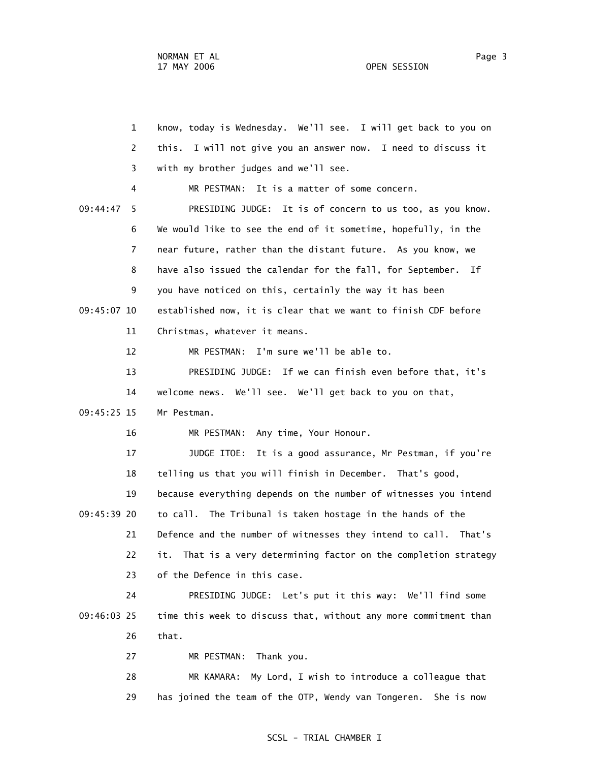1 know, today is Wednesday. We'll see. I will get back to you on 2 this. I will not give you an answer now. I need to discuss it 3 with my brother judges and we'll see. 4 MR PESTMAN: It is a matter of some concern. 09:44:47 5 PRESIDING JUDGE: It is of concern to us too, as you know. 6 We would like to see the end of it sometime, hopefully, in the 7 near future, rather than the distant future. As you know, we 8 have also issued the calendar for the fall, for September. If 9 you have noticed on this, certainly the way it has been 09:45:07 10 established now, it is clear that we want to finish CDF before 11 Christmas, whatever it means. 12 MR PESTMAN: I'm sure we'll be able to. 13 PRESIDING JUDGE: If we can finish even before that, it's 14 welcome news. We'll see. We'll get back to you on that, 09:45:25 15 Mr Pestman. 16 MR PESTMAN: Any time, Your Honour. 17 JUDGE ITOE: It is a good assurance, Mr Pestman, if you're 18 telling us that you will finish in December. That's good, 19 because everything depends on the number of witnesses you intend 09:45:39 20 to call. The Tribunal is taken hostage in the hands of the 21 Defence and the number of witnesses they intend to call. That's 22 it. That is a very determining factor on the completion strategy 23 of the Defence in this case. 24 PRESIDING JUDGE: Let's put it this way: We'll find some 09:46:03 25 time this week to discuss that, without any more commitment than 26 that. 27 MR PESTMAN: Thank you.

> 28 MR KAMARA: My Lord, I wish to introduce a colleague that 29 has joined the team of the OTP, Wendy van Tongeren. She is now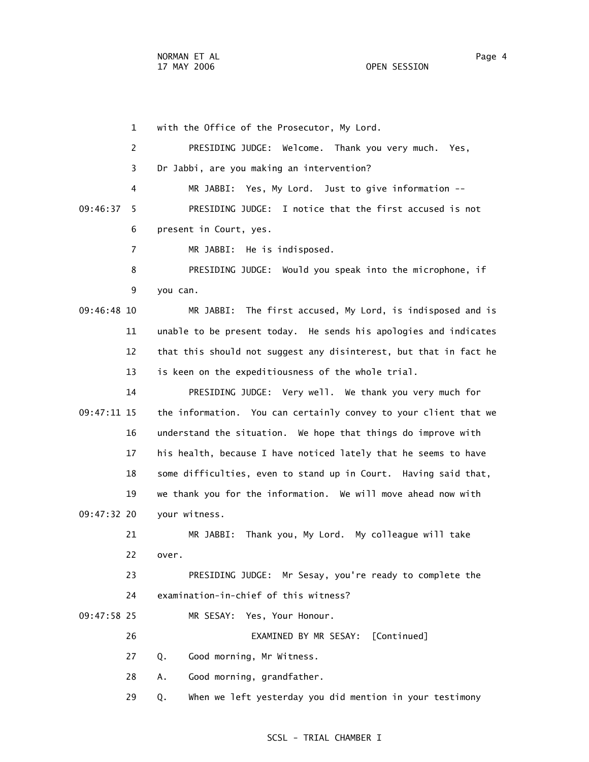1 with the Office of the Prosecutor, My Lord. 2 PRESIDING JUDGE: Welcome. Thank you very much. Yes, 3 Dr Jabbi, are you making an intervention? 4 MR JABBI: Yes, My Lord. Just to give information -- 09:46:37 5 PRESIDING JUDGE: I notice that the first accused is not 6 present in Court, yes. 7 MR JABBI: He is indisposed. 8 PRESIDING JUDGE: Would you speak into the microphone, if 9 you can. 09:46:48 10 MR JABBI: The first accused, My Lord, is indisposed and is 11 unable to be present today. He sends his apologies and indicates 12 that this should not suggest any disinterest, but that in fact he 13 is keen on the expeditiousness of the whole trial. 14 PRESIDING JUDGE: Very well. We thank you very much for 09:47:11 15 the information. You can certainly convey to your client that we 16 understand the situation. We hope that things do improve with 17 his health, because I have noticed lately that he seems to have 18 some difficulties, even to stand up in Court. Having said that, 19 we thank you for the information. We will move ahead now with 09:47:32 20 your witness. 21 MR JABBI: Thank you, My Lord. My colleague will take 22 over. 23 PRESIDING JUDGE: Mr Sesay, you're ready to complete the 24 examination-in-chief of this witness? 09:47:58 25 MR SESAY: Yes, Your Honour. 26 EXAMINED BY MR SESAY: [Continued] 27 Q. Good morning, Mr Witness. 28 A. Good morning, grandfather. 29 Q. When we left yesterday you did mention in your testimony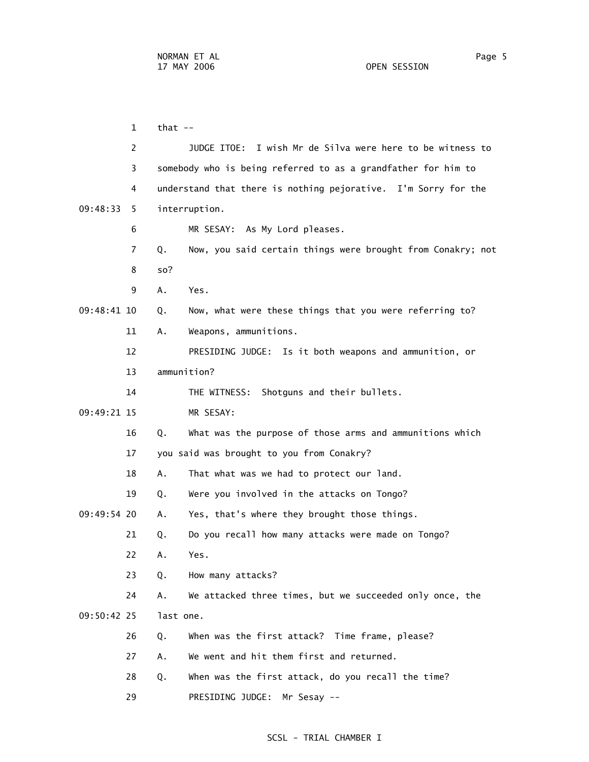$1$  that  $-$  2 JUDGE ITOE: I wish Mr de Silva were here to be witness to 3 somebody who is being referred to as a grandfather for him to 4 understand that there is nothing pejorative. I'm Sorry for the 09:48:33 5 interruption. 6 MR SESAY: As My Lord pleases. 7 Q. Now, you said certain things were brought from Conakry; not 8 so? 9 A. Yes. 09:48:41 10 Q. Now, what were these things that you were referring to? 11 A. Weapons, ammunitions. 12 PRESIDING JUDGE: Is it both weapons and ammunition, or 13 ammunition? 14 THE WITNESS: Shotguns and their bullets. 09:49:21 15 MR SESAY: 16 Q. What was the purpose of those arms and ammunitions which 17 you said was brought to you from Conakry? 18 A. That what was we had to protect our land. 19 Q. Were you involved in the attacks on Tongo? 09:49:54 20 A. Yes, that's where they brought those things. 21 Q. Do you recall how many attacks were made on Tongo? 22 A. Yes. 23 Q. How many attacks? 24 A. We attacked three times, but we succeeded only once, the 09:50:42 25 last one. 26 Q. When was the first attack? Time frame, please? 27 A. We went and hit them first and returned. 28 Q. When was the first attack, do you recall the time? 29 PRESIDING JUDGE: Mr Sesay --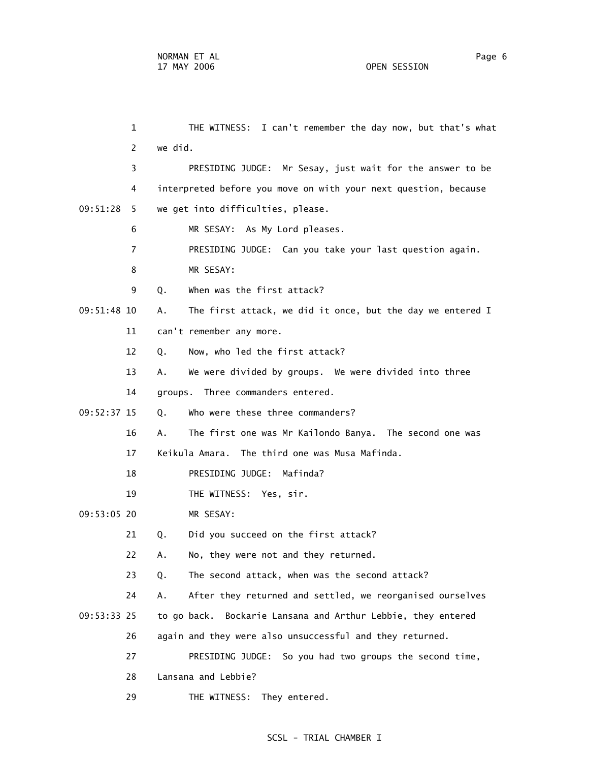1 THE WITNESS: I can't remember the day now, but that's what 2 we did. 3 PRESIDING JUDGE: Mr Sesay, just wait for the answer to be 4 interpreted before you move on with your next question, because 09:51:28 5 we get into difficulties, please. 6 MR SESAY: As My Lord pleases. 7 PRESIDING JUDGE: Can you take your last question again. 8 MR SESAY: 9 Q. When was the first attack? 09:51:48 10 A. The first attack, we did it once, but the day we entered I 11 can't remember any more. 12 Q. Now, who led the first attack? 13 A. We were divided by groups. We were divided into three 14 groups. Three commanders entered. 09:52:37 15 Q. Who were these three commanders? 16 A. The first one was Mr Kailondo Banya. The second one was 17 Keikula Amara. The third one was Musa Mafinda. 18 PRESIDING JUDGE: Mafinda? 19 THE WITNESS: Yes, sir. 09:53:05 20 MR SESAY: 21 Q. Did you succeed on the first attack? 22 A. No, they were not and they returned. 23 Q. The second attack, when was the second attack? 24 A. After they returned and settled, we reorganised ourselves 09:53:33 25 to go back. Bockarie Lansana and Arthur Lebbie, they entered 26 again and they were also unsuccessful and they returned. 27 PRESIDING JUDGE: So you had two groups the second time, 28 Lansana and Lebbie? 29 THE WITNESS: They entered.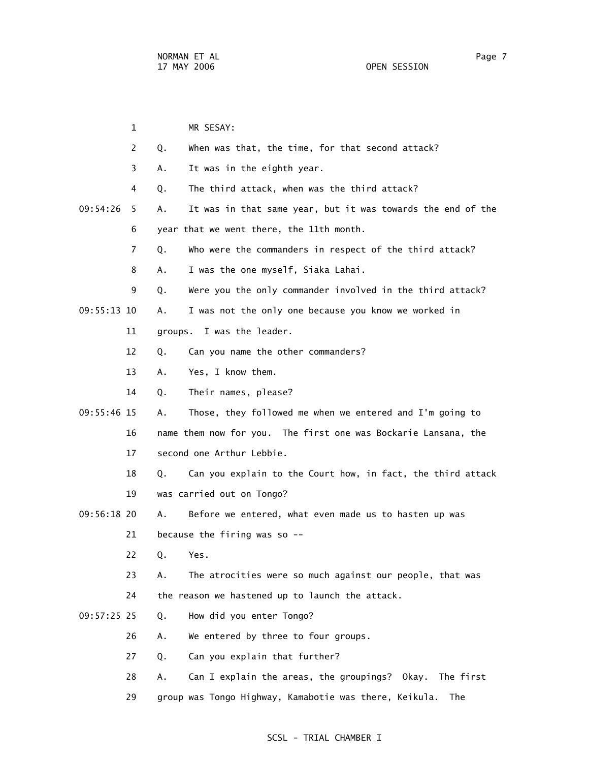1 MR SESAY: 2 Q. When was that, the time, for that second attack? 3 A. It was in the eighth year. 4 Q. The third attack, when was the third attack? 09:54:26 5 A. It was in that same year, but it was towards the end of the 6 year that we went there, the 11th month. 7 Q. Who were the commanders in respect of the third attack? 8 A. I was the one myself, Siaka Lahai. 9 Q. Were you the only commander involved in the third attack? 09:55:13 10 A. I was not the only one because you know we worked in 11 groups. I was the leader. 12 Q. Can you name the other commanders? 13 A. Yes, I know them. 14 Q. Their names, please? 09:55:46 15 A. Those, they followed me when we entered and I'm going to 16 name them now for you. The first one was Bockarie Lansana, the 17 second one Arthur Lebbie. 18 Q. Can you explain to the Court how, in fact, the third attack 19 was carried out on Tongo? 09:56:18 20 A. Before we entered, what even made us to hasten up was 21 because the firing was so -- 22 Q. Yes. 23 A. The atrocities were so much against our people, that was 24 the reason we hastened up to launch the attack. 09:57:25 25 Q. How did you enter Tongo? 26 A. We entered by three to four groups. 27 Q. Can you explain that further? 28 A. Can I explain the areas, the groupings? Okay. The first 29 group was Tongo Highway, Kamabotie was there, Keikula. The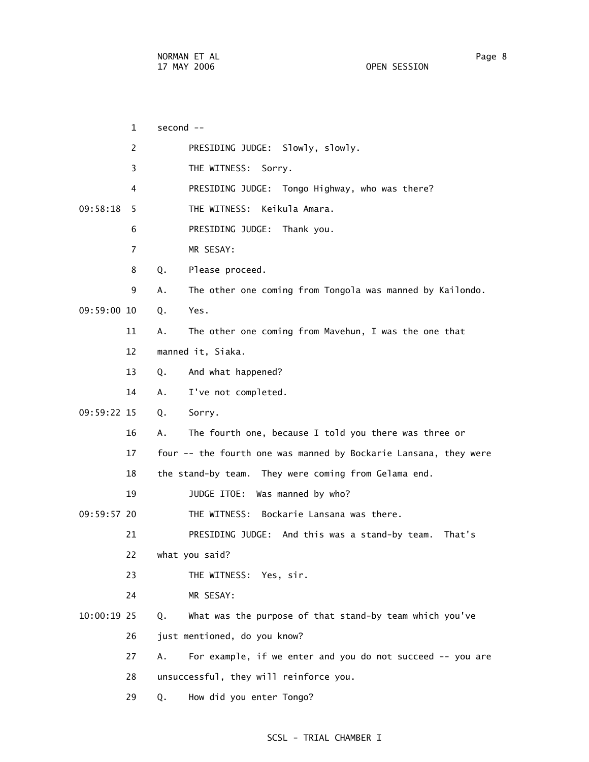|               | 1              | second --                                                        |
|---------------|----------------|------------------------------------------------------------------|
|               | $\overline{2}$ | PRESIDING JUDGE: Slowly, slowly.                                 |
|               | 3              | THE WITNESS:<br>Sorry.                                           |
|               | 4              | PRESIDING JUDGE: Tongo Highway, who was there?                   |
| 09:58:18      | 5.             | THE WITNESS: Keikula Amara.                                      |
|               | 6              | PRESIDING JUDGE: Thank you.                                      |
|               | $\overline{7}$ | MR SESAY:                                                        |
|               | 8              | Please proceed.<br>Q.                                            |
|               | 9              | The other one coming from Tongola was manned by Kailondo.<br>А.  |
| 09:59:00 10   |                | Yes.<br>Q.                                                       |
|               | 11             | The other one coming from Mavehun, I was the one that<br>Α.      |
|               | 12             | manned it, Siaka.                                                |
|               | 13             | And what happened?<br>Q.                                         |
|               | 14             | I've not completed.<br>А.                                        |
| 09:59:22 15   |                | Q.<br>Sorry.                                                     |
|               | 16             | The fourth one, because I told you there was three or<br>А.      |
|               | 17             | four -- the fourth one was manned by Bockarie Lansana, they were |
|               | 18             | the stand-by team. They were coming from Gelama end.             |
|               | 19             | JUDGE ITOE: Was manned by who?                                   |
| 09:59:57 20   |                | THE WITNESS: Bockarie Lansana was there.                         |
|               | 21             | PRESIDING JUDGE: And this was a stand-by team.<br>That's         |
|               | 22             | what you said?                                                   |
|               | 23             | THE WITNESS: Yes, sir.                                           |
|               | 24             | MR SESAY:                                                        |
| $10:00:19$ 25 |                | What was the purpose of that stand-by team which you've<br>Q.    |
|               | 26             | just mentioned, do you know?                                     |
|               | 27             | For example, if we enter and you do not succeed -- you are<br>А. |
|               | 28             | unsuccessful, they will reinforce you.                           |
|               | 29             | How did you enter Tongo?<br>Q.                                   |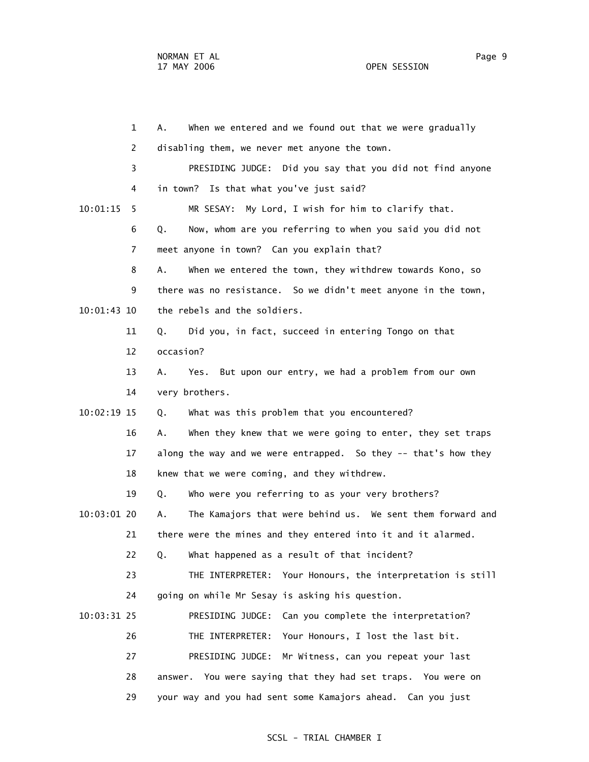|               | $\mathbf 1$    | When we entered and we found out that we were gradually<br>А.    |
|---------------|----------------|------------------------------------------------------------------|
|               | $\overline{2}$ | disabling them, we never met anyone the town.                    |
|               | 3              | PRESIDING JUDGE: Did you say that you did not find anyone        |
|               | 4              | in town? Is that what you've just said?                          |
| 10:01:15      | 5              | MR SESAY: My Lord, I wish for him to clarify that.               |
|               | 6              | Now, whom are you referring to when you said you did not<br>Q.   |
|               | 7              | meet anyone in town? Can you explain that?                       |
|               | 8              | When we entered the town, they withdrew towards Kono, so<br>А.   |
|               | 9              | there was no resistance. So we didn't meet anyone in the town,   |
| $10:01:43$ 10 |                | the rebels and the soldiers.                                     |
|               | 11             | Did you, in fact, succeed in entering Tongo on that<br>Q.        |
|               | 12             | occasion?                                                        |
|               | 13             | Yes. But upon our entry, we had a problem from our own<br>Α.     |
|               | 14             | very brothers.                                                   |
| $10:02:19$ 15 |                | What was this problem that you encountered?<br>Q.                |
|               | 16             | When they knew that we were going to enter, they set traps<br>А. |
|               | 17             | along the way and we were entrapped. So they -- that's how they  |
|               | 18             | knew that we were coming, and they withdrew.                     |
|               | 19             | Who were you referring to as your very brothers?<br>Q.           |
| $10:03:01$ 20 |                | The Kamajors that were behind us. We sent them forward and<br>А. |
|               | 21             | there were the mines and they entered into it and it alarmed.    |
|               | 22             | What happened as a result of that incident?<br>Q.                |
|               | 23             | THE INTERPRETER: Your Honours, the interpretation is still       |
|               | 24             | going on while Mr Sesay is asking his question.                  |
| $10:03:31$ 25 |                | Can you complete the interpretation?<br>PRESIDING JUDGE:         |
|               | 26             | THE INTERPRETER:<br>Your Honours, I lost the last bit.           |
|               | 27             | Mr Witness, can you repeat your last<br>PRESIDING JUDGE:         |
|               | 28             | You were saying that they had set traps. You were on<br>answer.  |
|               | 29             | your way and you had sent some Kamajors ahead. Can you just      |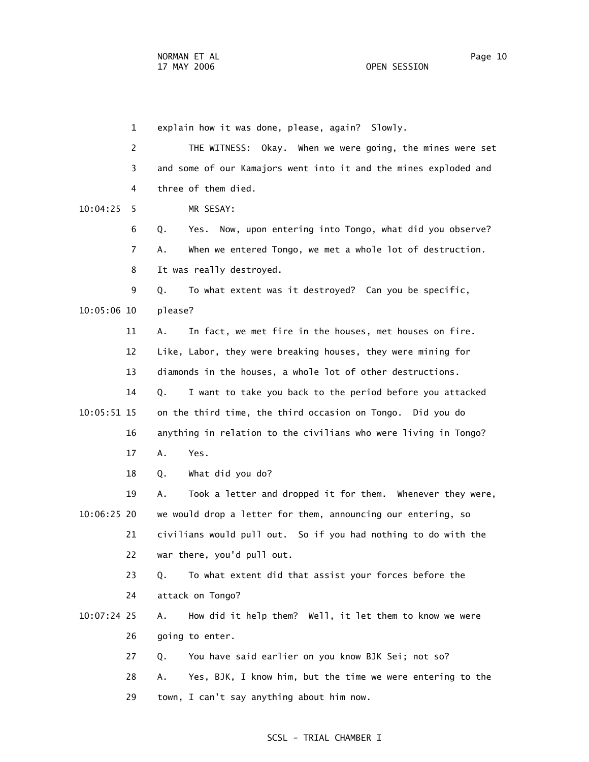1 explain how it was done, please, again? Slowly. 2 THE WITNESS: Okay. When we were going, the mines were set 3 and some of our Kamajors went into it and the mines exploded and 4 three of them died. 10:04:25 5 MR SESAY: 6 Q. Yes. Now, upon entering into Tongo, what did you observe? 7 A. When we entered Tongo, we met a whole lot of destruction. 8 It was really destroyed. 9 Q. To what extent was it destroyed? Can you be specific, 10:05:06 10 please? 11 A. In fact, we met fire in the houses, met houses on fire. 12 Like, Labor, they were breaking houses, they were mining for 13 diamonds in the houses, a whole lot of other destructions. 14 Q. I want to take you back to the period before you attacked 10:05:51 15 on the third time, the third occasion on Tongo. Did you do 16 anything in relation to the civilians who were living in Tongo? 17 A. Yes. 18 Q. What did you do? 19 A. Took a letter and dropped it for them. Whenever they were, 10:06:25 20 we would drop a letter for them, announcing our entering, so 21 civilians would pull out. So if you had nothing to do with the 22 war there, you'd pull out. 23 Q. To what extent did that assist your forces before the 24 attack on Tongo? 10:07:24 25 A. How did it help them? Well, it let them to know we were 26 going to enter. 27 Q. You have said earlier on you know BJK Sei; not so? 28 A. Yes, BJK, I know him, but the time we were entering to the 29 town, I can't say anything about him now.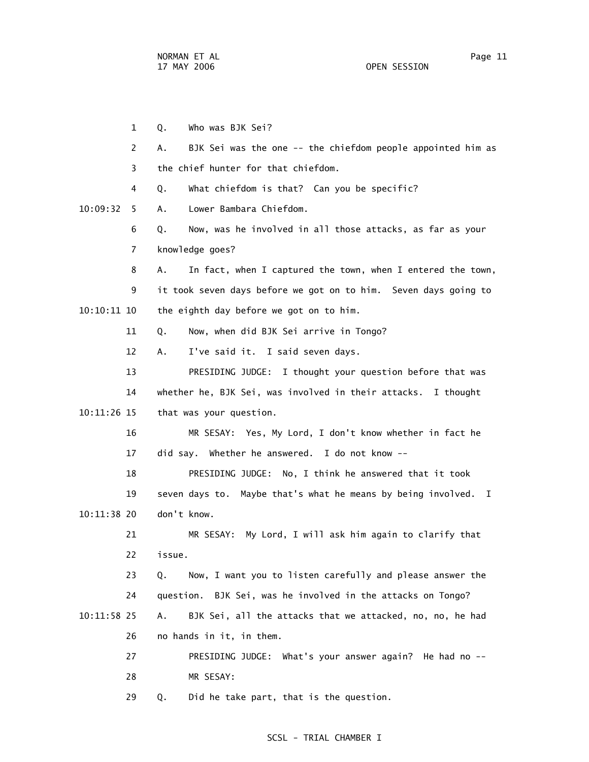1 Q. Who was BJK Sei? 2 A. BJK Sei was the one -- the chiefdom people appointed him as 3 the chief hunter for that chiefdom. 4 Q. What chiefdom is that? Can you be specific? 10:09:32 5 A. Lower Bambara Chiefdom. 6 Q. Now, was he involved in all those attacks, as far as your 7 knowledge goes? 8 A. In fact, when I captured the town, when I entered the town, 9 it took seven days before we got on to him. Seven days going to 10:10:11 10 the eighth day before we got on to him. 11 Q. Now, when did BJK Sei arrive in Tongo? 12 A. I've said it. I said seven days. 13 PRESIDING JUDGE: I thought your question before that was 14 whether he, BJK Sei, was involved in their attacks. I thought 10:11:26 15 that was your question. 16 MR SESAY: Yes, My Lord, I don't know whether in fact he 17 did say. Whether he answered. I do not know -- 18 PRESIDING JUDGE: No, I think he answered that it took 19 seven days to. Maybe that's what he means by being involved. I 10:11:38 20 don't know. 21 MR SESAY: My Lord, I will ask him again to clarify that 22 issue. 23 Q. Now, I want you to listen carefully and please answer the 24 question. BJK Sei, was he involved in the attacks on Tongo? 10:11:58 25 A. BJK Sei, all the attacks that we attacked, no, no, he had 26 no hands in it, in them. 27 PRESIDING JUDGE: What's your answer again? He had no -- 28 MR SESAY: 29 Q. Did he take part, that is the question.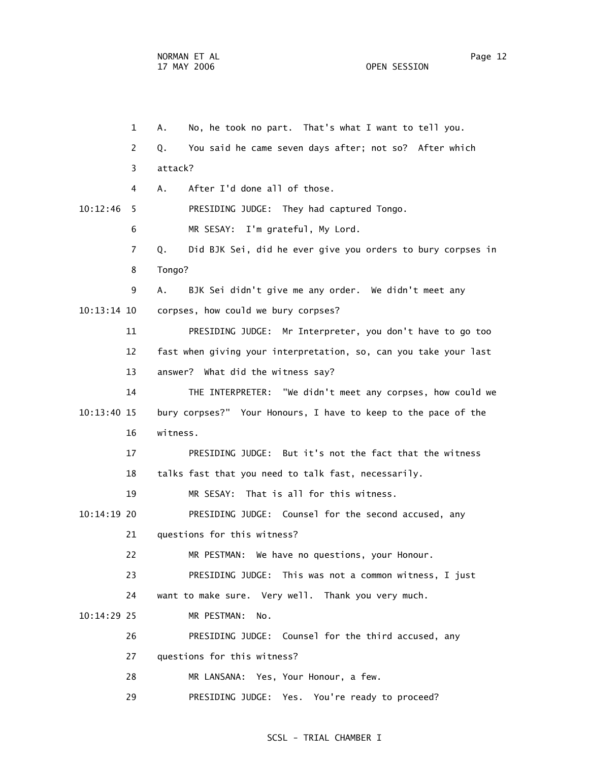1 A. No, he took no part. That's what I want to tell you. 2 Q. You said he came seven days after; not so? After which 3 attack? 4 A. After I'd done all of those. 10:12:46 5 PRESIDING JUDGE: They had captured Tongo. 6 MR SESAY: I'm grateful, My Lord. 7 Q. Did BJK Sei, did he ever give you orders to bury corpses in 8 Tongo? 9 A. BJK Sei didn't give me any order. We didn't meet any 10:13:14 10 corpses, how could we bury corpses? 11 PRESIDING JUDGE: Mr Interpreter, you don't have to go too 12 fast when giving your interpretation, so, can you take your last 13 answer? What did the witness say? 14 THE INTERPRETER: "We didn't meet any corpses, how could we 10:13:40 15 bury corpses?" Your Honours, I have to keep to the pace of the 16 witness. 17 PRESIDING JUDGE: But it's not the fact that the witness 18 talks fast that you need to talk fast, necessarily. 19 MR SESAY: That is all for this witness. 10:14:19 20 PRESIDING JUDGE: Counsel for the second accused, any 21 questions for this witness? 22 MR PESTMAN: We have no questions, your Honour. 23 PRESIDING JUDGE: This was not a common witness, I just 24 want to make sure. Very well. Thank you very much. 10:14:29 25 MR PESTMAN: No. 26 PRESIDING JUDGE: Counsel for the third accused, any 27 questions for this witness? 28 MR LANSANA: Yes, Your Honour, a few. 29 PRESIDING JUDGE: Yes. You're ready to proceed?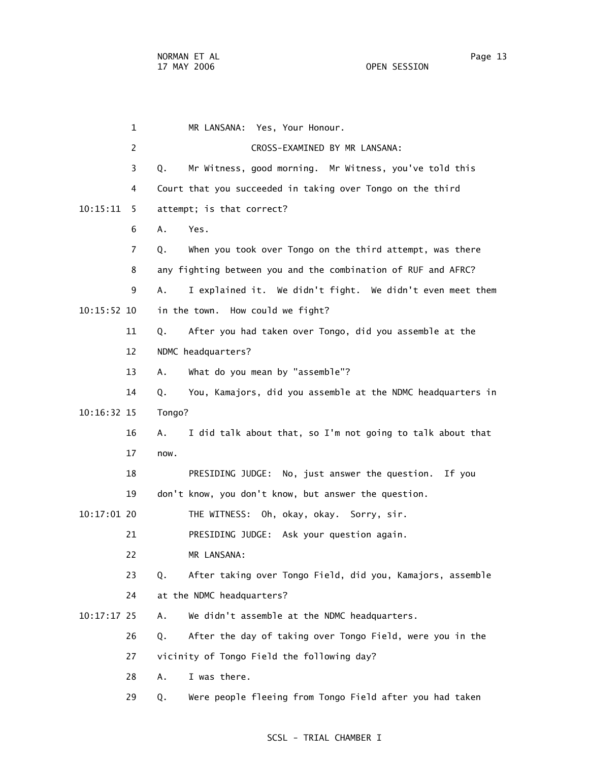1 MR LANSANA: Yes, Your Honour. 2 CROSS-EXAMINED BY MR LANSANA: 3 Q. Mr Witness, good morning. Mr Witness, you've told this 4 Court that you succeeded in taking over Tongo on the third 10:15:11 5 attempt; is that correct? 6 A. Yes. 7 Q. When you took over Tongo on the third attempt, was there 8 any fighting between you and the combination of RUF and AFRC? 9 A. I explained it. We didn't fight. We didn't even meet them 10:15:52 10 in the town. How could we fight? 11 Q. After you had taken over Tongo, did you assemble at the 12 NDMC headquarters? 13 A. What do you mean by "assemble"? 14 Q. You, Kamajors, did you assemble at the NDMC headquarters in 10:16:32 15 Tongo? 16 A. I did talk about that, so I'm not going to talk about that 17 now. 18 PRESIDING JUDGE: No, just answer the question. If you 19 don't know, you don't know, but answer the question. 10:17:01 20 THE WITNESS: Oh, okay, okay. Sorry, sir. 21 PRESIDING JUDGE: Ask your question again. 22 MR LANSANA: 23 Q. After taking over Tongo Field, did you, Kamajors, assemble 24 at the NDMC headquarters? 10:17:17 25 A. We didn't assemble at the NDMC headquarters. 26 Q. After the day of taking over Tongo Field, were you in the 27 vicinity of Tongo Field the following day? 28 A. I was there.

29 Q. Were people fleeing from Tongo Field after you had taken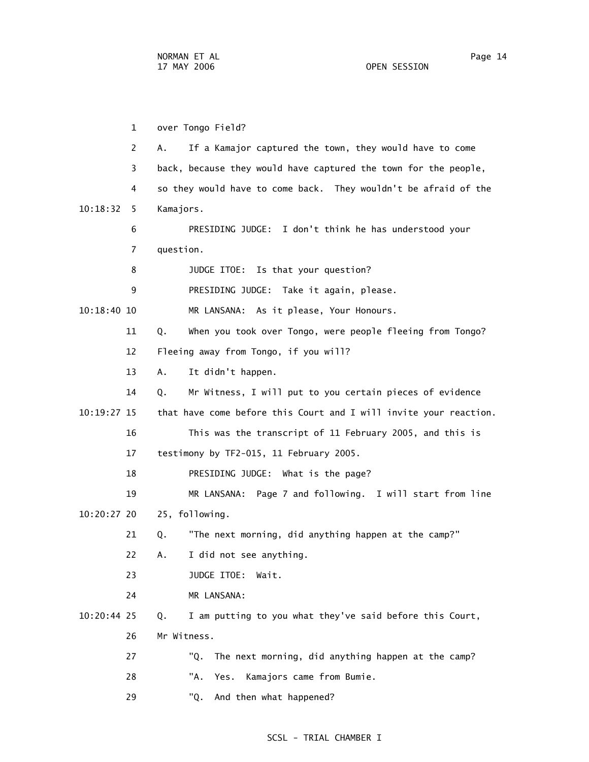1 over Tongo Field? 2 A. If a Kamajor captured the town, they would have to come 3 back, because they would have captured the town for the people, 4 so they would have to come back. They wouldn't be afraid of the 10:18:32 5 Kamajors. 6 PRESIDING JUDGE: I don't think he has understood your 7 question. 8 JUDGE ITOE: Is that your question? 9 PRESIDING JUDGE: Take it again, please. 10:18:40 10 MR LANSANA: As it please, Your Honours. 11 Q. When you took over Tongo, were people fleeing from Tongo? 12 Fleeing away from Tongo, if you will? 13 A. It didn't happen. 14 Q. Mr Witness, I will put to you certain pieces of evidence 10:19:27 15 that have come before this Court and I will invite your reaction. 16 This was the transcript of 11 February 2005, and this is 17 testimony by TF2-015, 11 February 2005. 18 PRESIDING JUDGE: What is the page? 19 MR LANSANA: Page 7 and following. I will start from line 10:20:27 20 25, following. 21 Q. "The next morning, did anything happen at the camp?" 22 A. I did not see anything. 23 JUDGE ITOE: Wait. 24 MR LANSANA: 10:20:44 25 Q. I am putting to you what they've said before this Court, 26 Mr Witness. 27 "Q. The next morning, did anything happen at the camp? 28 "A. Yes. Kamajors came from Bumie. 29 "Q. And then what happened?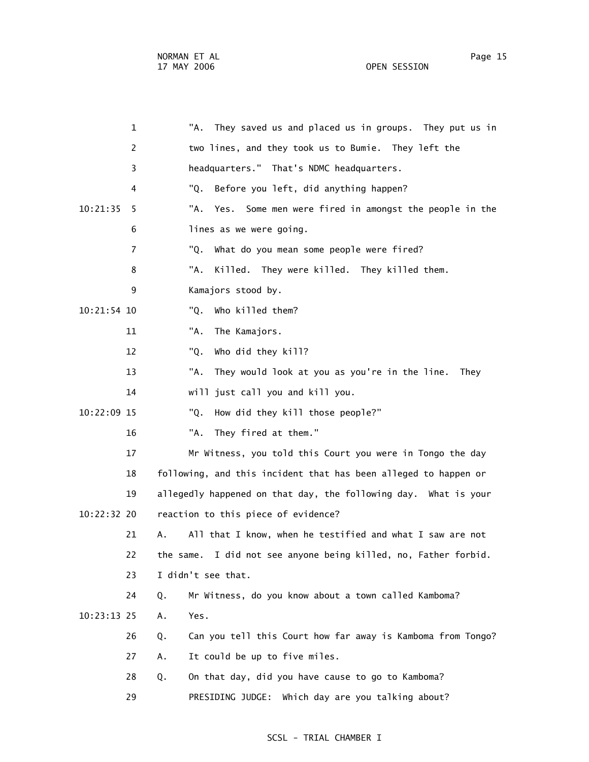1 "A. They saved us and placed us in groups. They put us in 2 two lines, and they took us to Bumie. They left the 3 headquarters." That's NDMC headquarters. 4 "Q. Before you left, did anything happen? 10:21:35 5 "A. Yes. Some men were fired in amongst the people in the 6 lines as we were going. 7 "Q. What do you mean some people were fired? 8 "A. Killed. They were killed. They killed them. 9 Kamajors stood by. 10:21:54 10 "Q. Who killed them? 11 "A. The Kamajors. 12 "Q. Who did they kill? 13 "A. They would look at you as you're in the line. They 14 will just call you and kill you. 10:22:09 15 "Q. How did they kill those people?" 16 "A. They fired at them." 17 Mr Witness, you told this Court you were in Tongo the day 18 following, and this incident that has been alleged to happen or 19 allegedly happened on that day, the following day. What is your 10:22:32 20 reaction to this piece of evidence? 21 A. All that I know, when he testified and what I saw are not 22 the same. I did not see anyone being killed, no, Father forbid. 23 I didn't see that. 24 Q. Mr Witness, do you know about a town called Kamboma? 10:23:13 25 A. Yes. 26 Q. Can you tell this Court how far away is Kamboma from Tongo? 27 A. It could be up to five miles. 28 Q. On that day, did you have cause to go to Kamboma? 29 PRESIDING JUDGE: Which day are you talking about?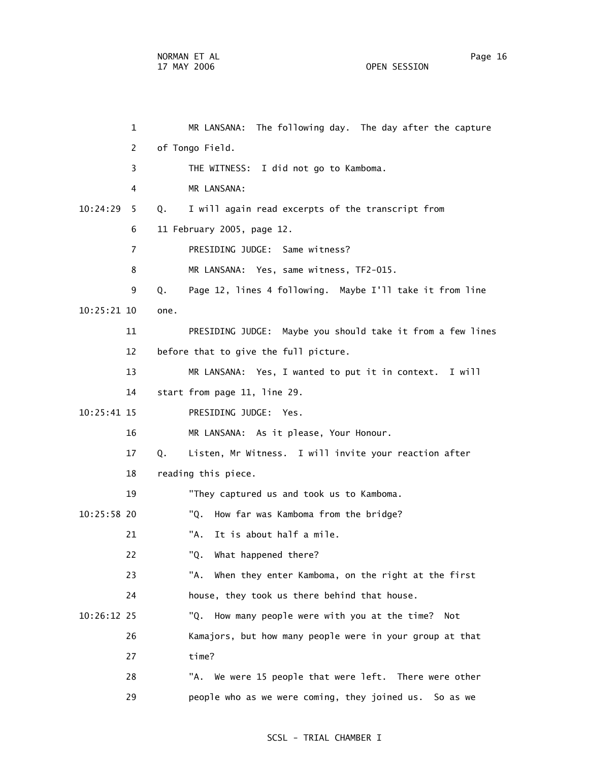1 MR LANSANA: The following day. The day after the capture 2 of Tongo Field. 3 THE WITNESS: I did not go to Kamboma. 4 MR LANSANA: 10:24:29 5 Q. I will again read excerpts of the transcript from 6 11 February 2005, page 12. 7 PRESIDING JUDGE: Same witness? 8 MR LANSANA: Yes, same witness, TF2-015. 9 Q. Page 12, lines 4 following. Maybe I'll take it from line 10:25:21 10 one. 11 PRESIDING JUDGE: Maybe you should take it from a few lines 12 before that to give the full picture. 13 MR LANSANA: Yes, I wanted to put it in context. I will 14 start from page 11, line 29. 10:25:41 15 PRESIDING JUDGE: Yes. 16 MR LANSANA: As it please, Your Honour. 17 Q. Listen, Mr Witness. I will invite your reaction after 18 reading this piece. 19 "They captured us and took us to Kamboma. 10:25:58 20 "Q. How far was Kamboma from the bridge? 21 "A. It is about half a mile. 22 "Q. What happened there? 23 "A. When they enter Kamboma, on the right at the first 24 house, they took us there behind that house. 10:26:12 25 "Q. How many people were with you at the time? Not 26 Kamajors, but how many people were in your group at that 27 time? 28 "A. We were 15 people that were left. There were other

29 people who as we were coming, they joined us. So as we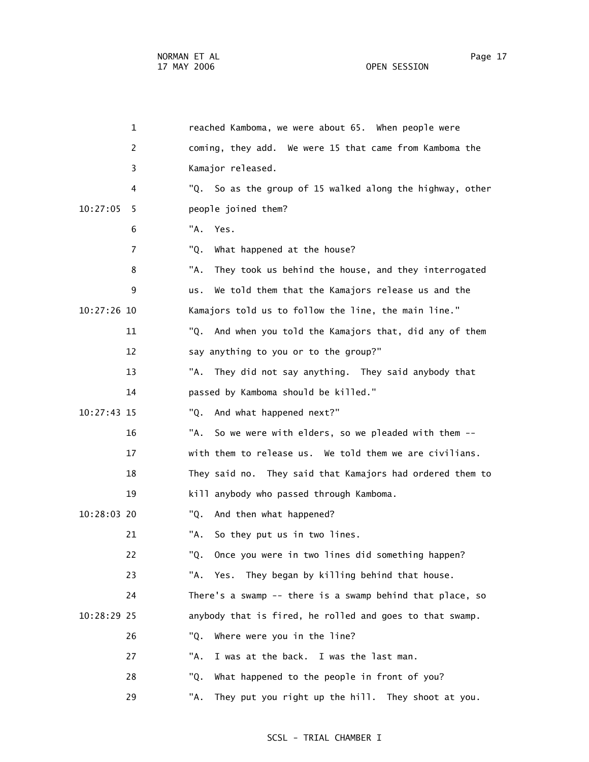| 1             | reached Kamboma, we were about 65. When people were         |
|---------------|-------------------------------------------------------------|
| 2             | coming, they add. We were 15 that came from Kamboma the     |
| 3             | Kamajor released.                                           |
| 4             | "Q. So as the group of 15 walked along the highway, other   |
| 10:27:05<br>5 | people joined them?                                         |
| 6             | "A.<br>Yes.                                                 |
| 7             | "Q.<br>What happened at the house?                          |
| 8             | "A.<br>They took us behind the house, and they interrogated |
| 9             | We told them that the Kamajors release us and the<br>us.    |
| 10:27:26 10   | Kamajors told us to follow the line, the main line."        |
| 11            | "Q.<br>And when you told the Kamajors that, did any of them |
| 12            | say anything to you or to the group?"                       |
| 13            | "A. They did not say anything. They said anybody that       |
| 14            | passed by Kamboma should be killed."                        |
| 10:27:43 15   | And what happened next?"<br>"Q.                             |
| 16            | "A.<br>So we were with elders, so we pleaded with them --   |
| 17            | with them to release us. We told them we are civilians.     |
| 18            | They said no. They said that Kamajors had ordered them to   |
| 19            | kill anybody who passed through Kamboma.                    |
| 10:28:03 20   | And then what happened?<br>"Q.                              |
| 21            | "A.<br>So they put us in two lines.                         |
| 22            | "Q.<br>Once you were in two lines did something happen?     |
| 23            | "A. Yes. They began by killing behind that house.           |
| 24            | There's a swamp -- there is a swamp behind that place, so   |
| 10:28:29 25   | anybody that is fired, he rolled and goes to that swamp.    |
| 26            | "Q.<br>Where were you in the line?                          |
| 27            | "A.<br>I was at the back. I was the last man.               |
| 28            | What happened to the people in front of you?<br>"Q.         |
| 29            | They put you right up the hill. They shoot at you.<br>"А.   |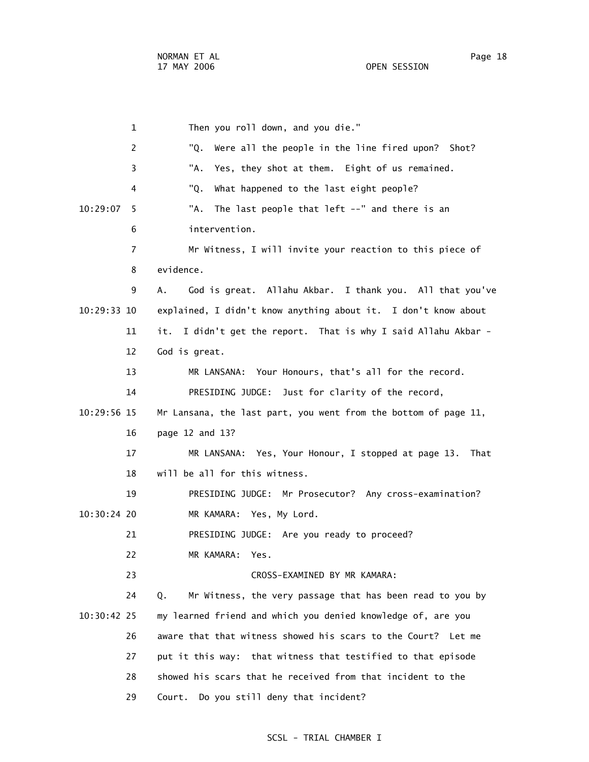1 Then you roll down, and you die." 2 "Q. Were all the people in the line fired upon? Shot? 3 "A. Yes, they shot at them. Eight of us remained. 4 "Q. What happened to the last eight people? 10:29:07 5 "A. The last people that left --" and there is an 6 intervention. 7 Mr Witness, I will invite your reaction to this piece of 8 evidence. 9 A. God is great. Allahu Akbar. I thank you. All that you've 10:29:33 10 explained, I didn't know anything about it. I don't know about 11 it. I didn't get the report. That is why I said Allahu Akbar - 12 God is great. 13 MR LANSANA: Your Honours, that's all for the record. 14 PRESIDING JUDGE: Just for clarity of the record, 10:29:56 15 Mr Lansana, the last part, you went from the bottom of page 11, 16 page 12 and 13? 17 MR LANSANA: Yes, Your Honour, I stopped at page 13. That 18 will be all for this witness. 19 PRESIDING JUDGE: Mr Prosecutor? Any cross-examination? 10:30:24 20 MR KAMARA: Yes, My Lord. 21 PRESIDING JUDGE: Are you ready to proceed? 22 MR KAMARA: Yes. 23 CROSS-EXAMINED BY MR KAMARA: 24 Q. Mr Witness, the very passage that has been read to you by 10:30:42 25 my learned friend and which you denied knowledge of, are you 26 aware that that witness showed his scars to the Court? Let me 27 put it this way: that witness that testified to that episode 28 showed his scars that he received from that incident to the 29 Court. Do you still deny that incident?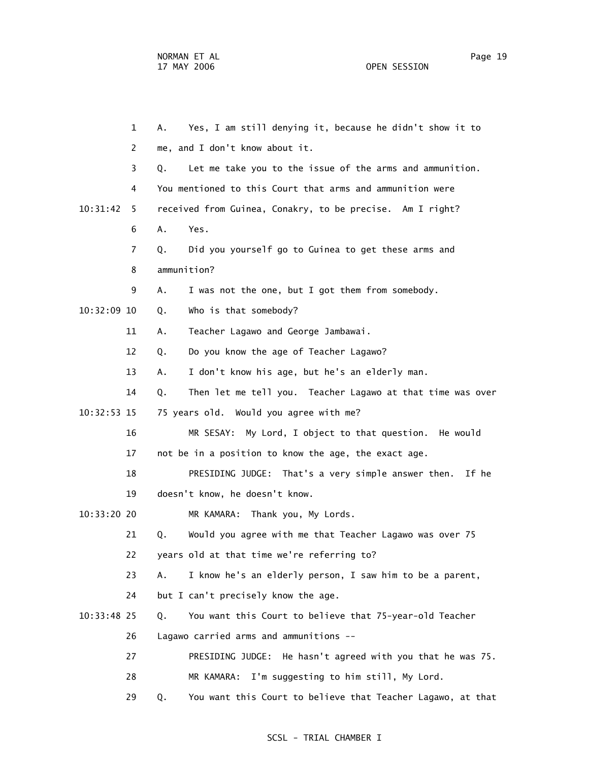1 A. Yes, I am still denying it, because he didn't show it to 2 me, and I don't know about it. 3 Q. Let me take you to the issue of the arms and ammunition. 4 You mentioned to this Court that arms and ammunition were 10:31:42 5 received from Guinea, Conakry, to be precise. Am I right? 6 A. Yes. 7 Q. Did you yourself go to Guinea to get these arms and 8 ammunition? 9 A. I was not the one, but I got them from somebody. 10:32:09 10 Q. Who is that somebody? 11 A. Teacher Lagawo and George Jambawai. 12 Q. Do you know the age of Teacher Lagawo? 13 A. I don't know his age, but he's an elderly man. 14 Q. Then let me tell you. Teacher Lagawo at that time was over 10:32:53 15 75 years old. Would you agree with me? 16 MR SESAY: My Lord, I object to that question. He would 17 not be in a position to know the age, the exact age. 18 PRESIDING JUDGE: That's a very simple answer then. If he 19 doesn't know, he doesn't know. 10:33:20 20 MR KAMARA: Thank you, My Lords. 21 Q. Would you agree with me that Teacher Lagawo was over 75 22 years old at that time we're referring to? 23 A. I know he's an elderly person, I saw him to be a parent, 24 but I can't precisely know the age. 10:33:48 25 Q. You want this Court to believe that 75-year-old Teacher 26 Lagawo carried arms and ammunitions -- 27 PRESIDING JUDGE: He hasn't agreed with you that he was 75. 28 MR KAMARA: I'm suggesting to him still, My Lord. 29 Q. You want this Court to believe that Teacher Lagawo, at that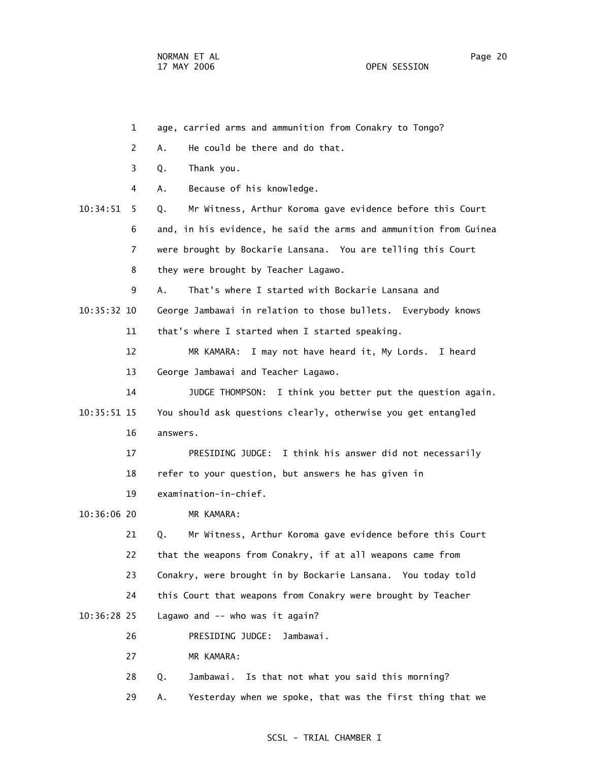- 1 age, carried arms and ammunition from Conakry to Tongo? 2 A. He could be there and do that. 3 Q. Thank you. 4 A. Because of his knowledge. 10:34:51 5 Q. Mr Witness, Arthur Koroma gave evidence before this Court 6 and, in his evidence, he said the arms and ammunition from Guinea 7 were brought by Bockarie Lansana. You are telling this Court 8 they were brought by Teacher Lagawo. 9 A. That's where I started with Bockarie Lansana and 10:35:32 10 George Jambawai in relation to those bullets. Everybody knows 11 that's where I started when I started speaking. 12 MR KAMARA: I may not have heard it, My Lords. I heard 13 George Jambawai and Teacher Lagawo. 14 JUDGE THOMPSON: I think you better put the question again. 10:35:51 15 You should ask questions clearly, otherwise you get entangled 16 answers. 17 PRESIDING JUDGE: I think his answer did not necessarily 18 refer to your question, but answers he has given in 19 examination-in-chief. 10:36:06 20 MR KAMARA: 21 Q. Mr Witness, Arthur Koroma gave evidence before this Court 22 that the weapons from Conakry, if at all weapons came from 23 Conakry, were brought in by Bockarie Lansana. You today told 24 this Court that weapons from Conakry were brought by Teacher 10:36:28 25 Lagawo and -- who was it again? 26 PRESIDING JUDGE: Jambawai. 27 MR KAMARA: 28 Q. Jambawai. Is that not what you said this morning?
	- 29 A. Yesterday when we spoke, that was the first thing that we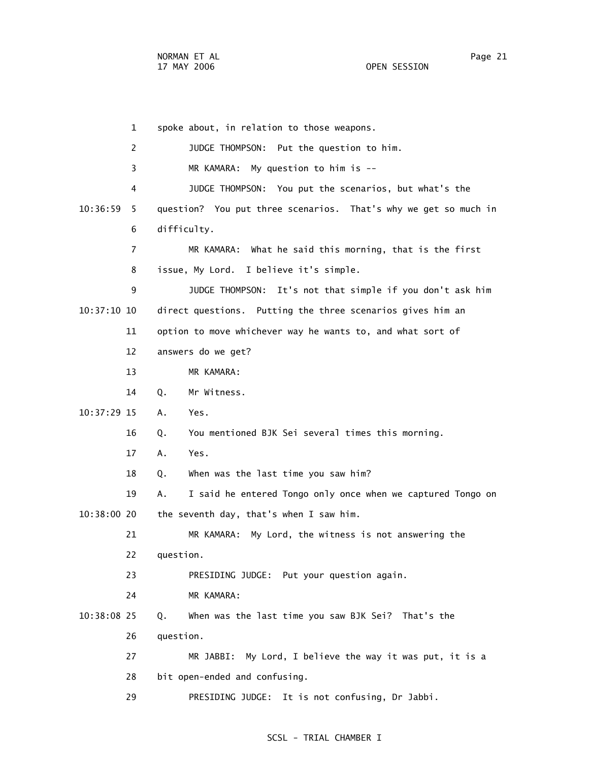1 spoke about, in relation to those weapons. 2 JUDGE THOMPSON: Put the question to him. 3 MR KAMARA: My question to him is -- 4 JUDGE THOMPSON: You put the scenarios, but what's the 10:36:59 5 question? You put three scenarios. That's why we get so much in 6 difficulty. 7 MR KAMARA: What he said this morning, that is the first 8 issue, My Lord. I believe it's simple. 9 JUDGE THOMPSON: It's not that simple if you don't ask him 10:37:10 10 direct questions. Putting the three scenarios gives him an 11 option to move whichever way he wants to, and what sort of 12 answers do we get? 13 MR KAMARA: 14 Q. Mr Witness. 10:37:29 15 A. Yes. 16 Q. You mentioned BJK Sei several times this morning. 17 A. Yes. 18 Q. When was the last time you saw him? 19 A. I said he entered Tongo only once when we captured Tongo on 10:38:00 20 the seventh day, that's when I saw him. 21 MR KAMARA: My Lord, the witness is not answering the 22 question. 23 PRESIDING JUDGE: Put your question again. 24 MR KAMARA: 10:38:08 25 Q. When was the last time you saw BJK Sei? That's the 26 question. 27 MR JABBI: My Lord, I believe the way it was put, it is a 28 bit open-ended and confusing. 29 PRESIDING JUDGE: It is not confusing, Dr Jabbi.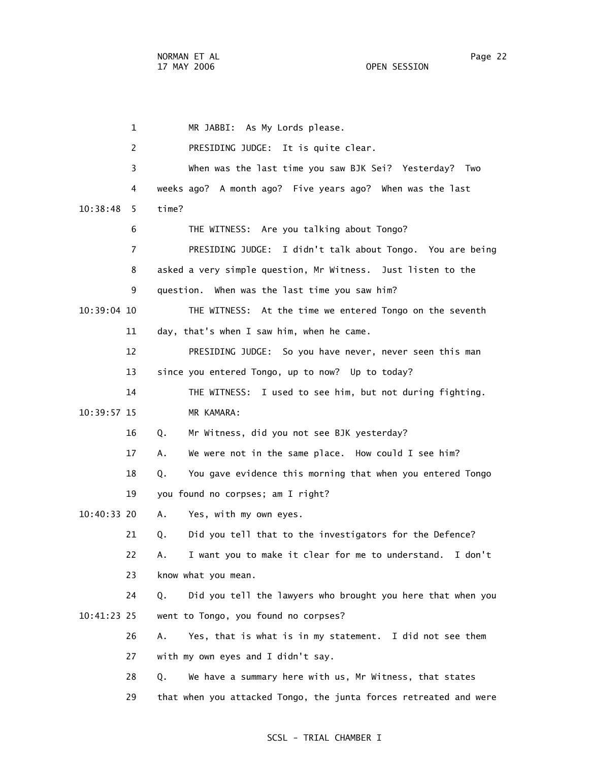1 MR JABBI: As My Lords please. 2 PRESIDING JUDGE: It is quite clear. 3 When was the last time you saw BJK Sei? Yesterday? Two 4 weeks ago? A month ago? Five years ago? When was the last 10:38:48 5 time? 6 THE WITNESS: Are you talking about Tongo? 7 PRESIDING JUDGE: I didn't talk about Tongo. You are being 8 asked a very simple question, Mr Witness. Just listen to the 9 question. When was the last time you saw him? 10:39:04 10 THE WITNESS: At the time we entered Tongo on the seventh 11 day, that's when I saw him, when he came. 12 PRESIDING JUDGE: So you have never, never seen this man 13 since you entered Tongo, up to now? Up to today? 14 THE WITNESS: I used to see him, but not during fighting. 10:39:57 15 MR KAMARA: 16 Q. Mr Witness, did you not see BJK yesterday? 17 A. We were not in the same place. How could I see him? 18 Q. You gave evidence this morning that when you entered Tongo 19 you found no corpses; am I right? 10:40:33 20 A. Yes, with my own eyes. 21 Q. Did you tell that to the investigators for the Defence? 22 A. I want you to make it clear for me to understand. I don't 23 know what you mean. 24 Q. Did you tell the lawyers who brought you here that when you 10:41:23 25 went to Tongo, you found no corpses? 26 A. Yes, that is what is in my statement. I did not see them 27 with my own eyes and I didn't say. 28 Q. We have a summary here with us, Mr Witness, that states 29 that when you attacked Tongo, the junta forces retreated and were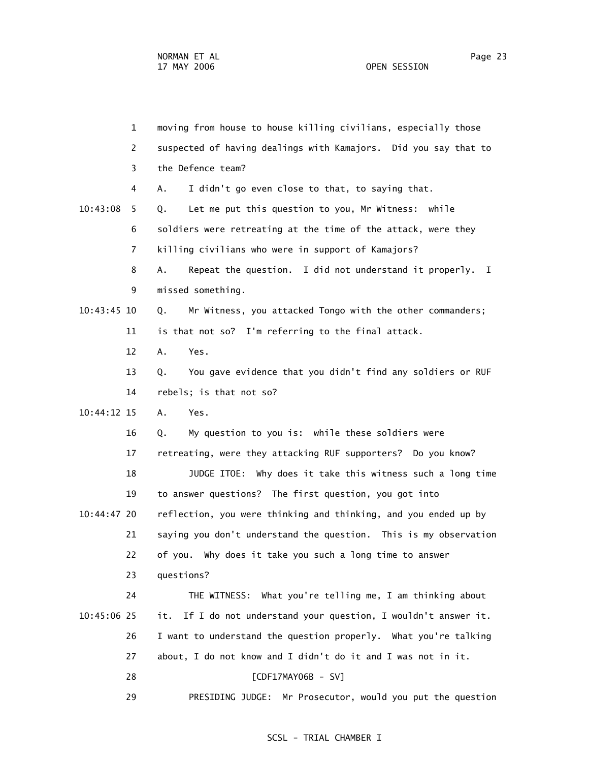1 moving from house to house killing civilians, especially those 2 suspected of having dealings with Kamajors. Did you say that to 3 the Defence team? 4 A. I didn't go even close to that, to saying that. 10:43:08 5 Q. Let me put this question to you, Mr Witness: while 6 soldiers were retreating at the time of the attack, were they 7 killing civilians who were in support of Kamajors? 8 A. Repeat the question. I did not understand it properly. I 9 missed something. 10:43:45 10 Q. Mr Witness, you attacked Tongo with the other commanders; 11 is that not so? I'm referring to the final attack. 12 A. Yes. 13 Q. You gave evidence that you didn't find any soldiers or RUF 14 rebels; is that not so? 10:44:12 15 A. Yes. 16 Q. My question to you is: while these soldiers were 17 retreating, were they attacking RUF supporters? Do you know? 18 JUDGE ITOE: Why does it take this witness such a long time 19 to answer questions? The first question, you got into 10:44:47 20 reflection, you were thinking and thinking, and you ended up by 21 saying you don't understand the question. This is my observation 22 of you. Why does it take you such a long time to answer 23 questions? 24 THE WITNESS: What you're telling me, I am thinking about 10:45:06 25 it. If I do not understand your question, I wouldn't answer it. 26 I want to understand the question properly. What you're talking 27 about, I do not know and I didn't do it and I was not in it. 28 [CDF17MAY06B - SV] 29 PRESIDING JUDGE: Mr Prosecutor, would you put the question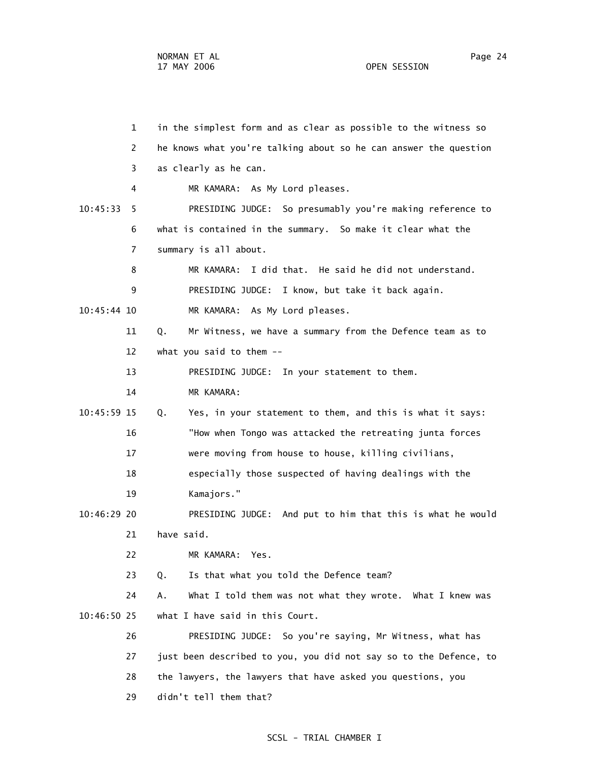1 in the simplest form and as clear as possible to the witness so 2 he knows what you're talking about so he can answer the question 3 as clearly as he can. 4 MR KAMARA: As My Lord pleases. 10:45:33 5 PRESIDING JUDGE: So presumably you're making reference to 6 what is contained in the summary. So make it clear what the 7 summary is all about. 8 MR KAMARA: I did that. He said he did not understand. 9 PRESIDING JUDGE: I know, but take it back again. 10:45:44 10 MR KAMARA: As My Lord pleases. 11 Q. Mr Witness, we have a summary from the Defence team as to 12 what you said to them -- 13 PRESIDING JUDGE: In your statement to them. 14 MR KAMARA: 10:45:59 15 Q. Yes, in your statement to them, and this is what it says: 16 "How when Tongo was attacked the retreating junta forces 17 were moving from house to house, killing civilians, 18 especially those suspected of having dealings with the 19 Kamajors." 10:46:29 20 PRESIDING JUDGE: And put to him that this is what he would 21 have said. 22 MR KAMARA: Yes. 23 Q. Is that what you told the Defence team? 24 A. What I told them was not what they wrote. What I knew was 10:46:50 25 what I have said in this Court. 26 PRESIDING JUDGE: So you're saying, Mr Witness, what has 27 just been described to you, you did not say so to the Defence, to 28 the lawyers, the lawyers that have asked you questions, you 29 didn't tell them that?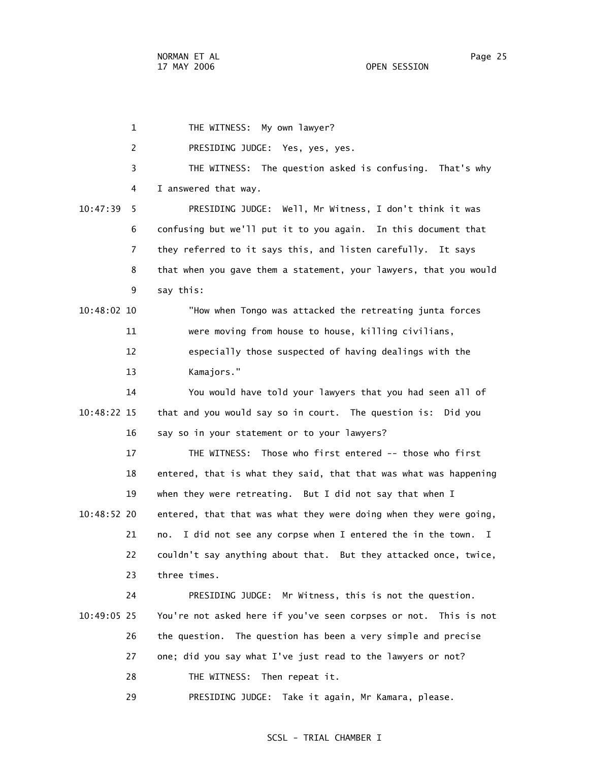1 THE WITNESS: My own lawyer? 2 PRESIDING JUDGE: Yes, yes, yes. 3 THE WITNESS: The question asked is confusing. That's why 4 I answered that way. 10:47:39 5 PRESIDING JUDGE: Well, Mr Witness, I don't think it was 6 confusing but we'll put it to you again. In this document that 7 they referred to it says this, and listen carefully. It says 8 that when you gave them a statement, your lawyers, that you would 9 say this: 10:48:02 10 "How when Tongo was attacked the retreating junta forces 11 were moving from house to house, killing civilians, 12 especially those suspected of having dealings with the 13 Kamajors." 14 You would have told your lawyers that you had seen all of 10:48:22 15 that and you would say so in court. The question is: Did you 16 say so in your statement or to your lawyers? 17 THE WITNESS: Those who first entered -- those who first 18 entered, that is what they said, that that was what was happening 19 when they were retreating. But I did not say that when I 10:48:52 20 entered, that that was what they were doing when they were going, 21 no. I did not see any corpse when I entered the in the town. I 22 couldn't say anything about that. But they attacked once, twice, 23 three times. 24 PRESIDING JUDGE: Mr Witness, this is not the question. 10:49:05 25 You're not asked here if you've seen corpses or not. This is not 26 the question. The question has been a very simple and precise 27 one; did you say what I've just read to the lawyers or not? 28 THE WITNESS: Then repeat it. 29 PRESIDING JUDGE: Take it again, Mr Kamara, please.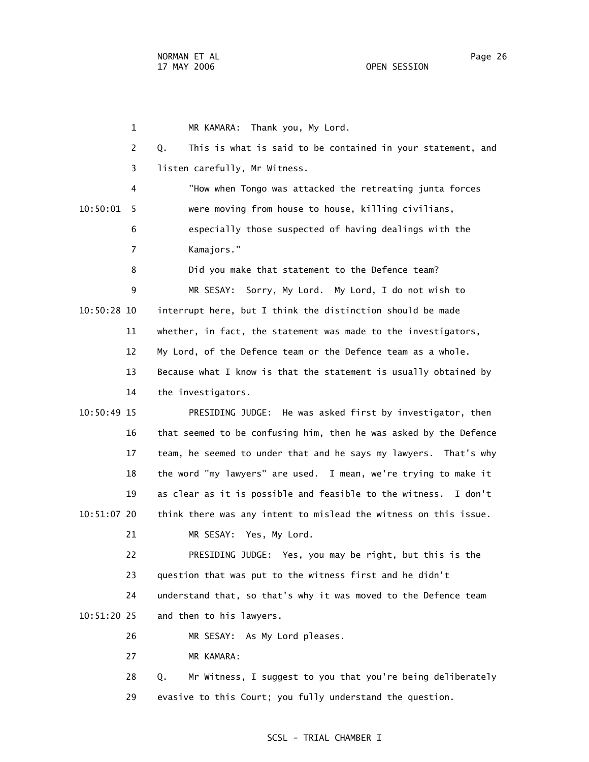1 MR KAMARA: Thank you, My Lord. 2 Q. This is what is said to be contained in your statement, and 3 listen carefully, Mr Witness. 4 "How when Tongo was attacked the retreating junta forces 10:50:01 5 were moving from house to house, killing civilians, 6 especially those suspected of having dealings with the 7 Kamajors." 8 Did you make that statement to the Defence team? 9 MR SESAY: Sorry, My Lord. My Lord, I do not wish to 10:50:28 10 interrupt here, but I think the distinction should be made 11 whether, in fact, the statement was made to the investigators, 12 My Lord, of the Defence team or the Defence team as a whole. 13 Because what I know is that the statement is usually obtained by 14 the investigators. 10:50:49 15 PRESIDING JUDGE: He was asked first by investigator, then 16 that seemed to be confusing him, then he was asked by the Defence 17 team, he seemed to under that and he says my lawyers. That's why 18 the word "my lawyers" are used. I mean, we're trying to make it 19 as clear as it is possible and feasible to the witness. I don't 10:51:07 20 think there was any intent to mislead the witness on this issue. 21 MR SESAY: Yes, My Lord. 22 PRESIDING JUDGE: Yes, you may be right, but this is the 23 question that was put to the witness first and he didn't 24 understand that, so that's why it was moved to the Defence team 10:51:20 25 and then to his lawyers. 26 MR SESAY: As My Lord pleases. 27 MR KAMARA: 28 Q. Mr Witness, I suggest to you that you're being deliberately

## SCSL - TRIAL CHAMBER I

29 evasive to this Court; you fully understand the question.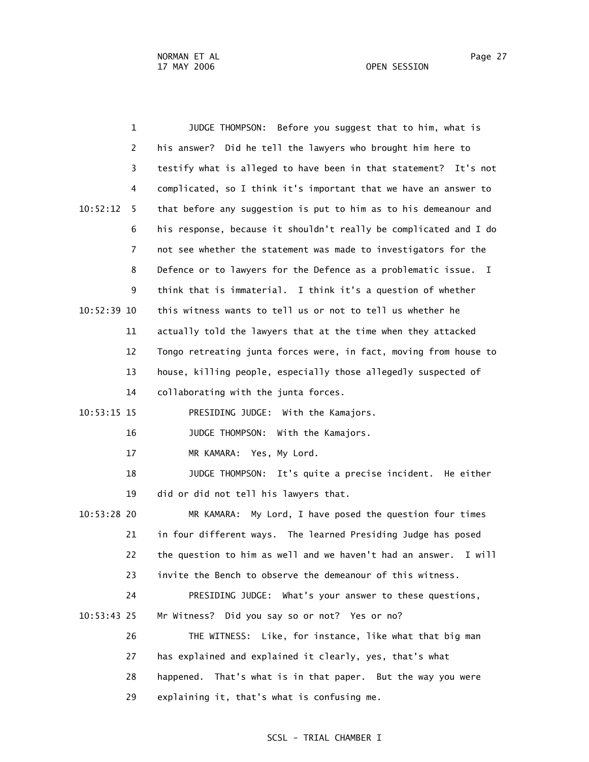| $\mathbf{1}$   | Before you suggest that to him, what is<br>JUDGE THOMPSON:        |
|----------------|-------------------------------------------------------------------|
| 2              | his answer? Did he tell the lawyers who brought him here to       |
| 3              | testify what is alleged to have been in that statement? It's not  |
| 4              | complicated, so I think it's important that we have an answer to  |
| 10:52:12<br>5. | that before any suggestion is put to him as to his demeanour and  |
| 6              | his response, because it shouldn't really be complicated and I do |
| $\overline{7}$ | not see whether the statement was made to investigators for the   |
| 8              | Defence or to lawyers for the Defence as a problematic issue. I   |
| 9              | think that is immaterial. I think it's a question of whether      |
| $10:52:39$ 10  | this witness wants to tell us or not to tell us whether he        |
| 11             | actually told the lawyers that at the time when they attacked     |
| 12             | Tongo retreating junta forces were, in fact, moving from house to |
| 13             | house, killing people, especially those allegedly suspected of    |
| 14             | collaborating with the junta forces.                              |
| 10:53:15 15    | PRESIDING JUDGE: With the Kamajors.                               |
| 16             | JUDGE THOMPSON: With the Kamajors.                                |
| 17             | MR KAMARA: Yes, My Lord.                                          |
| 18             | JUDGE THOMPSON: It's quite a precise incident. He either          |
| 19             | did or did not tell his lawyers that.                             |
| 10:53:28 20    | My Lord, I have posed the question four times<br>MR KAMARA:       |
| 21             | in four different ways. The learned Presiding Judge has posed     |
| 22             | the question to him as well and we haven't had an answer. I will  |
| 23             | invite the Bench to observe the demeanour of this witness.        |
| 24             | PRESIDING JUDGE: What's your answer to these questions,           |
| $10:53:43$ 25  | Mr Witness? Did you say so or not? Yes or no?                     |
| 26             | THE WITNESS: Like, for instance, like what that big man           |
| 27             | has explained and explained it clearly, yes, that's what          |
| 28             | That's what is in that paper. But the way you were<br>happened.   |
| 29             | explaining it, that's what is confusing me.                       |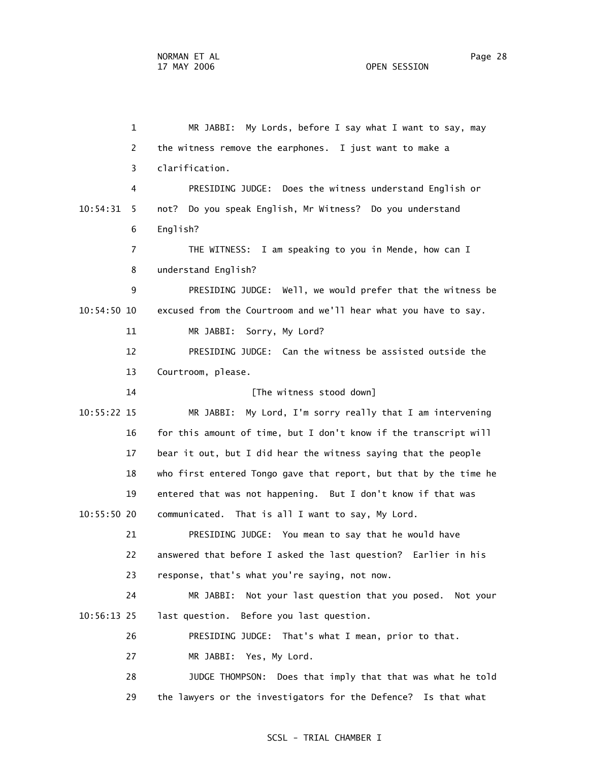1 MR JABBI: My Lords, before I say what I want to say, may 2 the witness remove the earphones. I just want to make a 3 clarification. 4 PRESIDING JUDGE: Does the witness understand English or 10:54:31 5 not? Do you speak English, Mr Witness? Do you understand 6 English? 7 THE WITNESS: I am speaking to you in Mende, how can I 8 understand English? 9 PRESIDING JUDGE: Well, we would prefer that the witness be 10:54:50 10 excused from the Courtroom and we'll hear what you have to say. 11 MR JABBI: Sorry, My Lord? 12 PRESIDING JUDGE: Can the witness be assisted outside the 13 Courtroom, please. 14 **Intervalle Example 14** [The witness stood down] 10:55:22 15 MR JABBI: My Lord, I'm sorry really that I am intervening 16 for this amount of time, but I don't know if the transcript will 17 bear it out, but I did hear the witness saying that the people 18 who first entered Tongo gave that report, but that by the time he 19 entered that was not happening. But I don't know if that was 10:55:50 20 communicated. That is all I want to say, My Lord. 21 PRESIDING JUDGE: You mean to say that he would have 22 answered that before I asked the last question? Earlier in his 23 response, that's what you're saying, not now. 24 MR JABBI: Not your last question that you posed. Not your 10:56:13 25 last question. Before you last question. 26 PRESIDING JUDGE: That's what I mean, prior to that. 27 MR JABBI: Yes, My Lord. 28 JUDGE THOMPSON: Does that imply that that was what he told 29 the lawyers or the investigators for the Defence? Is that what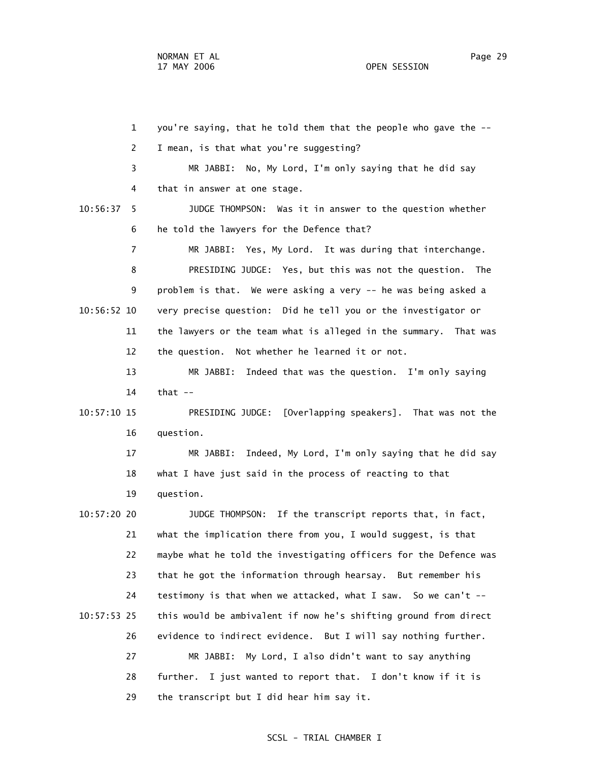1 you're saying, that he told them that the people who gave the -- 2 I mean, is that what you're suggesting? 3 MR JABBI: No, My Lord, I'm only saying that he did say 4 that in answer at one stage. 10:56:37 5 JUDGE THOMPSON: Was it in answer to the question whether 6 he told the lawyers for the Defence that? 7 MR JABBI: Yes, My Lord. It was during that interchange. 8 PRESIDING JUDGE: Yes, but this was not the question. The 9 problem is that. We were asking a very -- he was being asked a 10:56:52 10 very precise question: Did he tell you or the investigator or 11 the lawyers or the team what is alleged in the summary. That was 12 the question. Not whether he learned it or not. 13 MR JABBI: Indeed that was the question. I'm only saying 14 that -- 10:57:10 15 PRESIDING JUDGE: [Overlapping speakers]. That was not the 16 question. 17 MR JABBI: Indeed, My Lord, I'm only saying that he did say 18 what I have just said in the process of reacting to that 19 question. 10:57:20 20 JUDGE THOMPSON: If the transcript reports that, in fact, 21 what the implication there from you, I would suggest, is that 22 maybe what he told the investigating officers for the Defence was 23 that he got the information through hearsay. But remember his 24 testimony is that when we attacked, what I saw. So we can't -- 10:57:53 25 this would be ambivalent if now he's shifting ground from direct 26 evidence to indirect evidence. But I will say nothing further. 27 MR JABBI: My Lord, I also didn't want to say anything 28 further. I just wanted to report that. I don't know if it is 29 the transcript but I did hear him say it.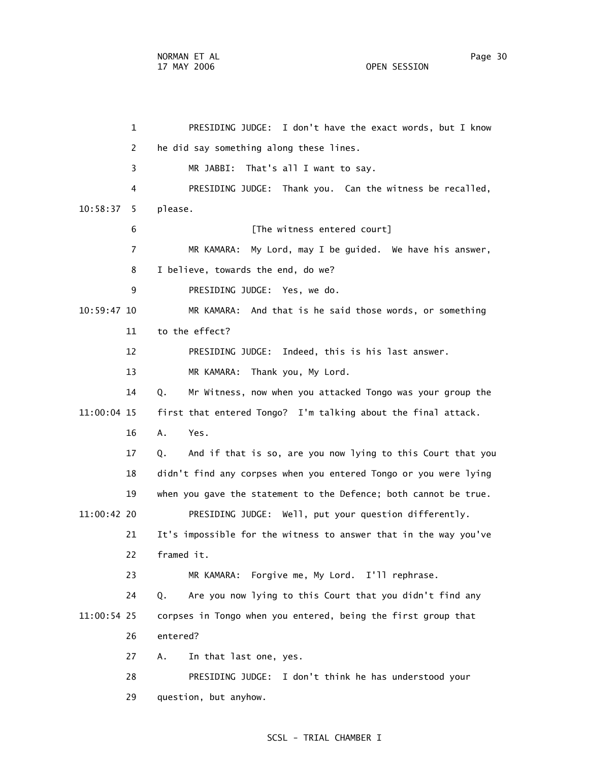1 PRESIDING JUDGE: I don't have the exact words, but I know 2 he did say something along these lines. 3 MR JABBI: That's all I want to say. 4 PRESIDING JUDGE: Thank you. Can the witness be recalled, 10:58:37 5 please. 6 **Integral Contract Figure 1** The witness entered court] 7 MR KAMARA: My Lord, may I be guided. We have his answer, 8 I believe, towards the end, do we? 9 PRESIDING JUDGE: Yes, we do. 10:59:47 10 MR KAMARA: And that is he said those words, or something 11 to the effect? 12 PRESIDING JUDGE: Indeed, this is his last answer. 13 MR KAMARA: Thank you, My Lord. 14 Q. Mr Witness, now when you attacked Tongo was your group the 11:00:04 15 first that entered Tongo? I'm talking about the final attack. 16 A. Yes. 17 Q. And if that is so, are you now lying to this Court that you 18 didn't find any corpses when you entered Tongo or you were lying 19 when you gave the statement to the Defence; both cannot be true. 11:00:42 20 PRESIDING JUDGE: Well, put your question differently. 21 It's impossible for the witness to answer that in the way you've 22 framed it. 23 MR KAMARA: Forgive me, My Lord. I'll rephrase. 24 Q. Are you now lying to this Court that you didn't find any 11:00:54 25 corpses in Tongo when you entered, being the first group that 26 entered? 27 A. In that last one, yes. 28 PRESIDING JUDGE: I don't think he has understood your 29 question, but anyhow.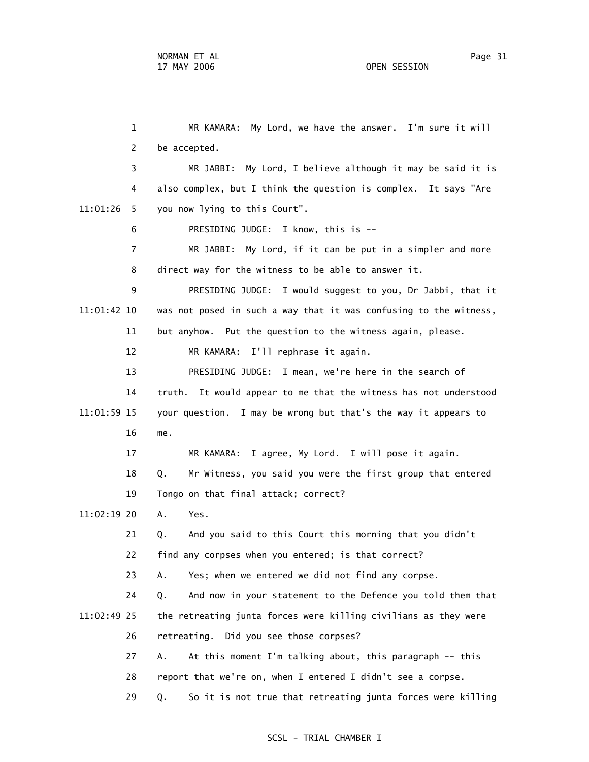1 MR KAMARA: My Lord, we have the answer. I'm sure it will 2 be accepted. 3 MR JABBI: My Lord, I believe although it may be said it is 4 also complex, but I think the question is complex. It says "Are 11:01:26 5 you now lying to this Court". 6 PRESIDING JUDGE: I know, this is -- 7 MR JABBI: My Lord, if it can be put in a simpler and more 8 direct way for the witness to be able to answer it. 9 PRESIDING JUDGE: I would suggest to you, Dr Jabbi, that it 11:01:42 10 was not posed in such a way that it was confusing to the witness, 11 but anyhow. Put the question to the witness again, please. 12 MR KAMARA: I'll rephrase it again. 13 PRESIDING JUDGE: I mean, we're here in the search of 14 truth. It would appear to me that the witness has not understood 11:01:59 15 your question. I may be wrong but that's the way it appears to 16 me. 17 MR KAMARA: I agree, My Lord. I will pose it again. 18 Q. Mr Witness, you said you were the first group that entered 19 Tongo on that final attack; correct? 11:02:19 20 A. Yes. 21 Q. And you said to this Court this morning that you didn't 22 find any corpses when you entered; is that correct? 23 A. Yes; when we entered we did not find any corpse. 24 Q. And now in your statement to the Defence you told them that 11:02:49 25 the retreating junta forces were killing civilians as they were 26 retreating. Did you see those corpses? 27 A. At this moment I'm talking about, this paragraph -- this 28 report that we're on, when I entered I didn't see a corpse. 29 Q. So it is not true that retreating junta forces were killing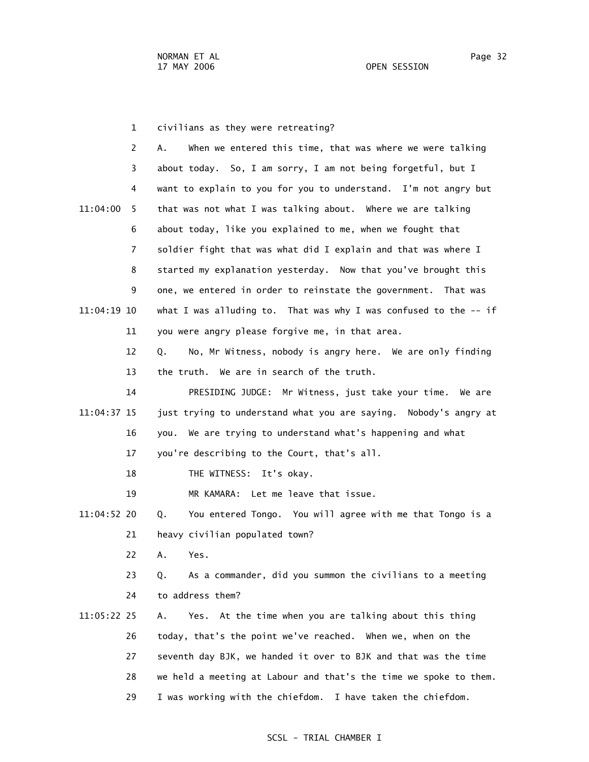1 civilians as they were retreating? 2 A. When we entered this time, that was where we were talking 3 about today. So, I am sorry, I am not being forgetful, but I 4 want to explain to you for you to understand. I'm not angry but 11:04:00 5 that was not what I was talking about. Where we are talking 6 about today, like you explained to me, when we fought that 7 soldier fight that was what did I explain and that was where I 8 started my explanation yesterday. Now that you've brought this 9 one, we entered in order to reinstate the government. That was 11:04:19 10 what I was alluding to. That was why I was confused to the -- if 11 you were angry please forgive me, in that area. 12 Q. No, Mr Witness, nobody is angry here. We are only finding 13 the truth. We are in search of the truth. 14 PRESIDING JUDGE: Mr Witness, just take your time. We are 11:04:37 15 just trying to understand what you are saying. Nobody's angry at 16 you. We are trying to understand what's happening and what 17 you're describing to the Court, that's all. 18 THE WITNESS: It's okay. 19 MR KAMARA: Let me leave that issue. 11:04:52 20 Q. You entered Tongo. You will agree with me that Tongo is a 21 heavy civilian populated town?

22 A. Yes.

 23 Q. As a commander, did you summon the civilians to a meeting 24 to address them?

 11:05:22 25 A. Yes. At the time when you are talking about this thing 26 today, that's the point we've reached. When we, when on the 27 seventh day BJK, we handed it over to BJK and that was the time 28 we held a meeting at Labour and that's the time we spoke to them. 29 I was working with the chiefdom. I have taken the chiefdom.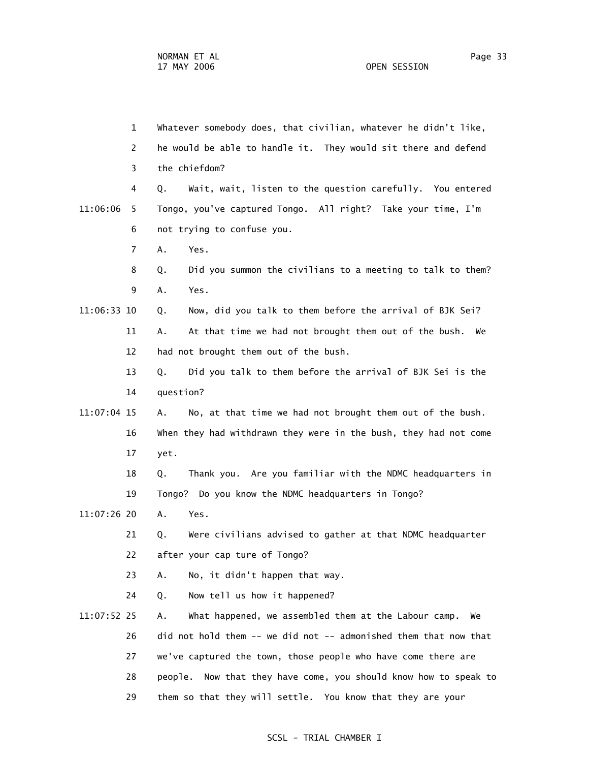1 Whatever somebody does, that civilian, whatever he didn't like, 2 he would be able to handle it. They would sit there and defend 3 the chiefdom? 4 Q. Wait, wait, listen to the question carefully. You entered 11:06:06 5 Tongo, you've captured Tongo. All right? Take your time, I'm 6 not trying to confuse you. 7 A. Yes. 8 Q. Did you summon the civilians to a meeting to talk to them? 9 A. Yes. 11:06:33 10 Q. Now, did you talk to them before the arrival of BJK Sei? 11 A. At that time we had not brought them out of the bush. We 12 had not brought them out of the bush. 13 Q. Did you talk to them before the arrival of BJK Sei is the 14 question? 11:07:04 15 A. No, at that time we had not brought them out of the bush. 16 When they had withdrawn they were in the bush, they had not come 17 yet. 18 Q. Thank you. Are you familiar with the NDMC headquarters in 19 Tongo? Do you know the NDMC headquarters in Tongo? 11:07:26 20 A. Yes. 21 Q. Were civilians advised to gather at that NDMC headquarter 22 after your cap ture of Tongo? 23 A. No, it didn't happen that way. 24 Q. Now tell us how it happened? 11:07:52 25 A. What happened, we assembled them at the Labour camp. We 26 did not hold them -- we did not -- admonished them that now that 27 we've captured the town, those people who have come there are 28 people. Now that they have come, you should know how to speak to 29 them so that they will settle. You know that they are your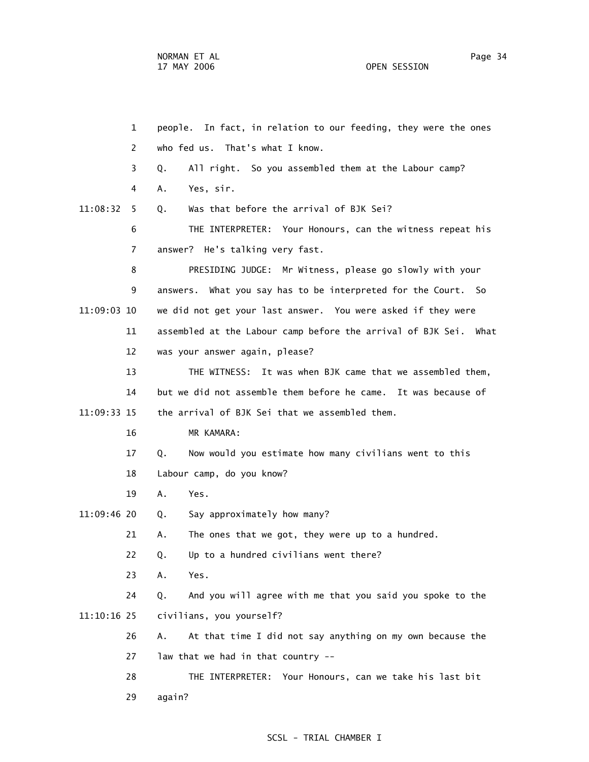1 people. In fact, in relation to our feeding, they were the ones 2 who fed us. That's what I know. 3 Q. All right. So you assembled them at the Labour camp? 4 A. Yes, sir. 11:08:32 5 Q. Was that before the arrival of BJK Sei? 6 THE INTERPRETER: Your Honours, can the witness repeat his 7 answer? He's talking very fast. 8 PRESIDING JUDGE: Mr Witness, please go slowly with your 9 answers. What you say has to be interpreted for the Court. So 11:09:03 10 we did not get your last answer. You were asked if they were 11 assembled at the Labour camp before the arrival of BJK Sei. What 12 was your answer again, please? 13 THE WITNESS: It was when BJK came that we assembled them, 14 but we did not assemble them before he came. It was because of 11:09:33 15 the arrival of BJK Sei that we assembled them. 16 MR KAMARA: 17 Q. Now would you estimate how many civilians went to this 18 Labour camp, do you know? 19 A. Yes. 11:09:46 20 Q. Say approximately how many? 21 A. The ones that we got, they were up to a hundred. 22 Q. Up to a hundred civilians went there? 23 A. Yes. 24 Q. And you will agree with me that you said you spoke to the 11:10:16 25 civilians, you yourself? 26 A. At that time I did not say anything on my own because the 27 law that we had in that country -- 28 THE INTERPRETER: Your Honours, can we take his last bit 29 again?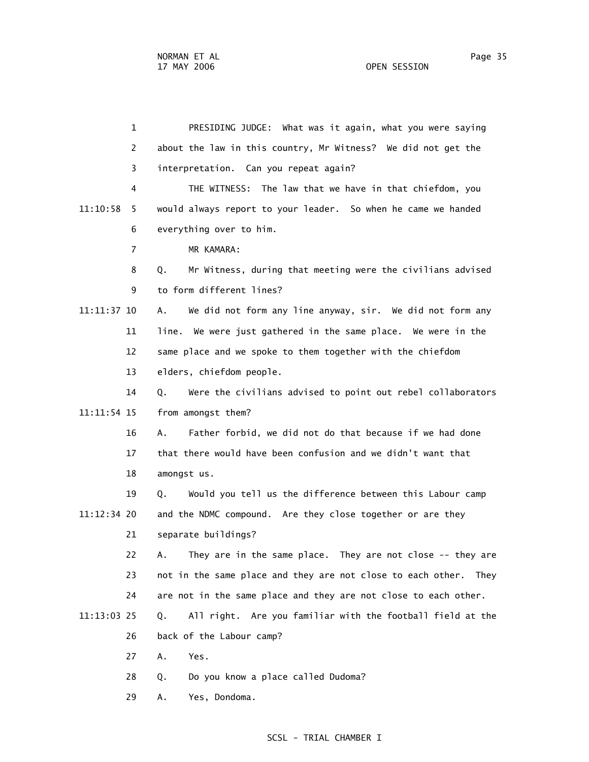1 PRESIDING JUDGE: What was it again, what you were saying 2 about the law in this country, Mr Witness? We did not get the 3 interpretation. Can you repeat again? 4 THE WITNESS: The law that we have in that chiefdom, you 11:10:58 5 would always report to your leader. So when he came we handed 6 everything over to him. 7 MR KAMARA: 8 Q. Mr Witness, during that meeting were the civilians advised 9 to form different lines? 11:11:37 10 A. We did not form any line anyway, sir. We did not form any 11 line. We were just gathered in the same place. We were in the 12 same place and we spoke to them together with the chiefdom 13 elders, chiefdom people. 14 Q. Were the civilians advised to point out rebel collaborators 11:11:54 15 from amongst them? 16 A. Father forbid, we did not do that because if we had done 17 that there would have been confusion and we didn't want that 18 amongst us. 19 Q. Would you tell us the difference between this Labour camp 11:12:34 20 and the NDMC compound. Are they close together or are they 21 separate buildings? 22 A. They are in the same place. They are not close -- they are 23 not in the same place and they are not close to each other. They 24 are not in the same place and they are not close to each other. 11:13:03 25 Q. All right. Are you familiar with the football field at the 26 back of the Labour camp? 27 A. Yes. 28 Q. Do you know a place called Dudoma? 29 A. Yes, Dondoma.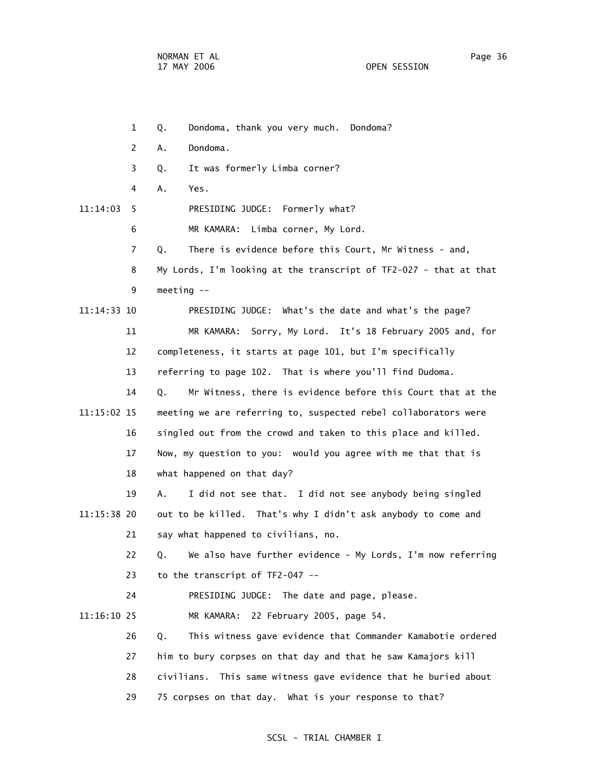1 Q. Dondoma, thank you very much. Dondoma? 2 A. Dondoma. 3 Q. It was formerly Limba corner? 4 A. Yes. 11:14:03 5 PRESIDING JUDGE: Formerly what? 6 MR KAMARA: Limba corner, My Lord. 7 Q. There is evidence before this Court, Mr Witness - and, 8 My Lords, I'm looking at the transcript of TF2-027 - that at that 9 meeting -- 11:14:33 10 PRESIDING JUDGE: What's the date and what's the page? 11 MR KAMARA: Sorry, My Lord. It's 18 February 2005 and, for 12 completeness, it starts at page 101, but I'm specifically 13 referring to page 102. That is where you'll find Dudoma. 14 Q. Mr Witness, there is evidence before this Court that at the 11:15:02 15 meeting we are referring to, suspected rebel collaborators were 16 singled out from the crowd and taken to this place and killed. 17 Now, my question to you: would you agree with me that that is 18 what happened on that day? 19 A. I did not see that. I did not see anybody being singled 11:15:38 20 out to be killed. That's why I didn't ask anybody to come and 21 say what happened to civilians, no. 22 Q. We also have further evidence - My Lords, I'm now referring 23 to the transcript of TF2-047 -- 24 PRESIDING JUDGE: The date and page, please. 11:16:10 25 MR KAMARA: 22 February 2005, page 54. 26 Q. This witness gave evidence that Commander Kamabotie ordered 27 him to bury corpses on that day and that he saw Kamajors kill 28 civilians. This same witness gave evidence that he buried about 29 75 corpses on that day. What is your response to that?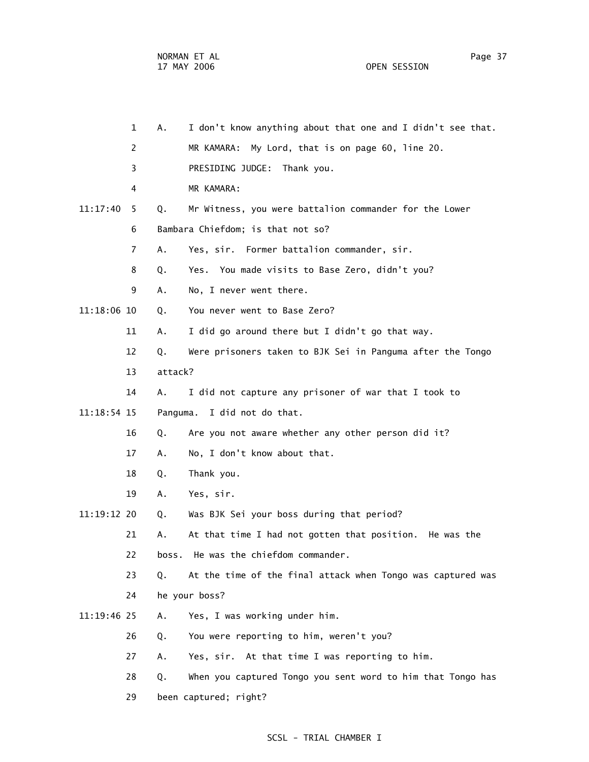| $\mathbf{1}$   | А.      | I don't know anything about that one and I didn't see that. |
|----------------|---------|-------------------------------------------------------------|
| 2              |         | MR KAMARA: My Lord, that is on page 60, line 20.            |
| 3              |         | PRESIDING JUDGE: Thank you.                                 |
| 4              |         | MR KAMARA:                                                  |
| 11:17:40<br>5  | Q.      | Mr Witness, you were battalion commander for the Lower      |
| 6              |         | Bambara Chiefdom; is that not so?                           |
| $\overline{7}$ | А.      | Yes, sir. Former battalion commander, sir.                  |
| 8              | Q.      | Yes. You made visits to Base Zero, didn't you?              |
| 9              | Α.      | No, I never went there.                                     |
| 11:18:06 10    | Q.      | You never went to Base Zero?                                |
| 11             | Α.      | I did go around there but I didn't go that way.             |
| 12             | Q.      | Were prisoners taken to BJK Sei in Panguma after the Tongo  |
| 13             | attack? |                                                             |
| 14             | Α.      | I did not capture any prisoner of war that I took to        |
| $11:18:54$ 15  |         | Panguma.<br>I did not do that.                              |
| 16             | Q.      | Are you not aware whether any other person did it?          |
| 17             | А.      | No, I don't know about that.                                |
| 18             | Q.      | Thank you.                                                  |
| 19             | Α.      | Yes, sir.                                                   |
| 11:19:12 20    | Q.      | Was BJK Sei your boss during that period?                   |
| 21             | А.      | At that time I had not gotten that position. He was the     |
| 22             |         | boss. He was the chiefdom commander.                        |
| 23             | Q.      | At the time of the final attack when Tongo was captured was |
| 24             |         | he your boss?                                               |
| 11:19:46 25    | Α.      | Yes, I was working under him.                               |
| 26             | Q.      | You were reporting to him, weren't you?                     |
| 27             | Α.      | Yes, sir. At that time I was reporting to him.              |
| 28             | Q.      | When you captured Tongo you sent word to him that Tongo has |
| 29             |         | been captured; right?                                       |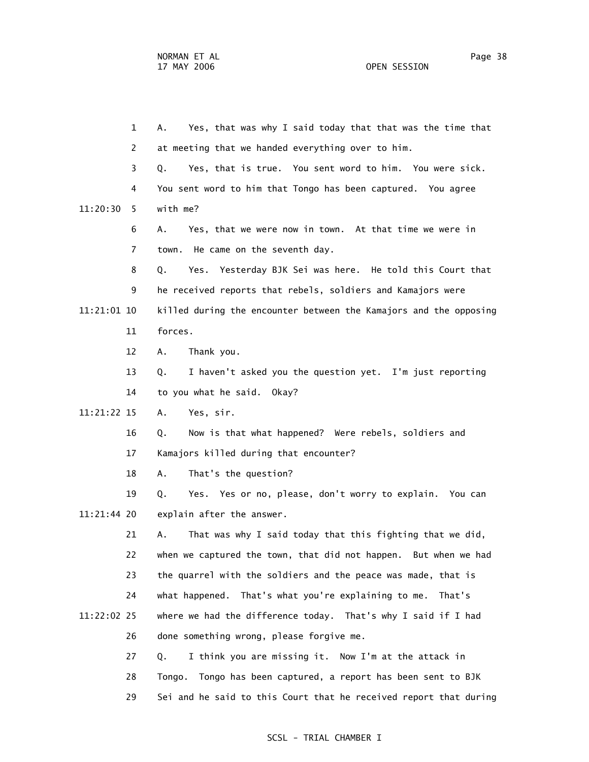1 A. Yes, that was why I said today that that was the time that 2 at meeting that we handed everything over to him. 3 Q. Yes, that is true. You sent word to him. You were sick. 4 You sent word to him that Tongo has been captured. You agree 11:20:30 5 with me? 6 A. Yes, that we were now in town. At that time we were in 7 town. He came on the seventh day. 8 Q. Yes. Yesterday BJK Sei was here. He told this Court that 9 he received reports that rebels, soldiers and Kamajors were 11:21:01 10 killed during the encounter between the Kamajors and the opposing 11 forces. 12 A. Thank you. 13 Q. I haven't asked you the question yet. I'm just reporting 14 to you what he said. Okay? 11:21:22 15 A. Yes, sir. 16 Q. Now is that what happened? Were rebels, soldiers and 17 Kamajors killed during that encounter? 18 A. That's the question? 19 Q. Yes. Yes or no, please, don't worry to explain. You can 11:21:44 20 explain after the answer. 21 A. That was why I said today that this fighting that we did, 22 when we captured the town, that did not happen. But when we had 23 the quarrel with the soldiers and the peace was made, that is 24 what happened. That's what you're explaining to me. That's 11:22:02 25 where we had the difference today. That's why I said if I had 26 done something wrong, please forgive me. 27 Q. I think you are missing it. Now I'm at the attack in 28 Tongo. Tongo has been captured, a report has been sent to BJK 29 Sei and he said to this Court that he received report that during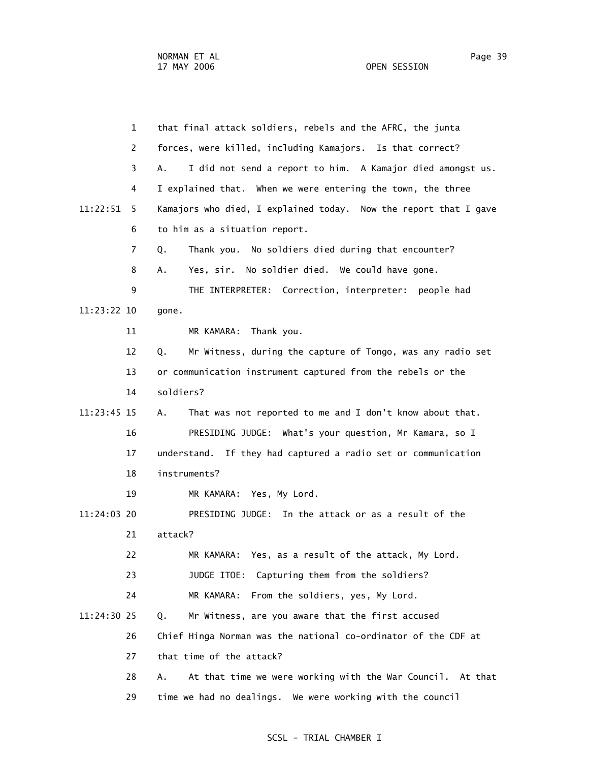|             | $\mathbf{1}$ | that final attack soldiers, rebels and the AFRC, the junta       |
|-------------|--------------|------------------------------------------------------------------|
|             | 2            | forces, were killed, including Kamajors. Is that correct?        |
|             | 3            | A.<br>I did not send a report to him. A Kamajor died amongst us. |
|             | 4            | I explained that. When we were entering the town, the three      |
| 11:22:51    | 5            | Kamajors who died, I explained today. Now the report that I gave |
|             | 6            | to him as a situation report.                                    |
|             | 7            | Thank you. No soldiers died during that encounter?<br>Q.         |
|             | 8            | Yes, sir. No soldier died. We could have gone.<br>Α.             |
|             | 9            | THE INTERPRETER: Correction, interpreter: people had             |
| 11:23:22 10 |              | gone.                                                            |
|             | 11           | MR KAMARA:<br>Thank you.                                         |
|             | 12           | Mr Witness, during the capture of Tongo, was any radio set<br>Q. |
|             | 13           | or communication instrument captured from the rebels or the      |
|             | 14           | soldiers?                                                        |
| 11:23:45 15 |              | That was not reported to me and I don't know about that.<br>А.   |
|             | 16           | PRESIDING JUDGE: What's your question, Mr Kamara, so I           |
|             | 17           | understand. If they had captured a radio set or communication    |
|             | 18           | instruments?                                                     |
|             | 19           | MR KAMARA: Yes, My Lord.                                         |
| 11:24:03 20 |              | PRESIDING JUDGE: In the attack or as a result of the             |
|             | 21           | attack?                                                          |
|             | 22           | MR KAMARA: Yes, as a result of the attack, My Lord.              |
|             | 23           | JUDGE ITOE:<br>Capturing them from the soldiers?                 |
|             | 24           | MR KAMARA:<br>From the soldiers, yes, My Lord.                   |
| 11:24:30 25 |              | Mr Witness, are you aware that the first accused<br>Q.           |
|             | 26           | Chief Hinga Norman was the national co-ordinator of the CDF at   |
|             | 27           | that time of the attack?                                         |
|             | 28           | At that time we were working with the War Council. At that<br>Α. |
|             | 29           | time we had no dealings. We were working with the council        |
|             |              |                                                                  |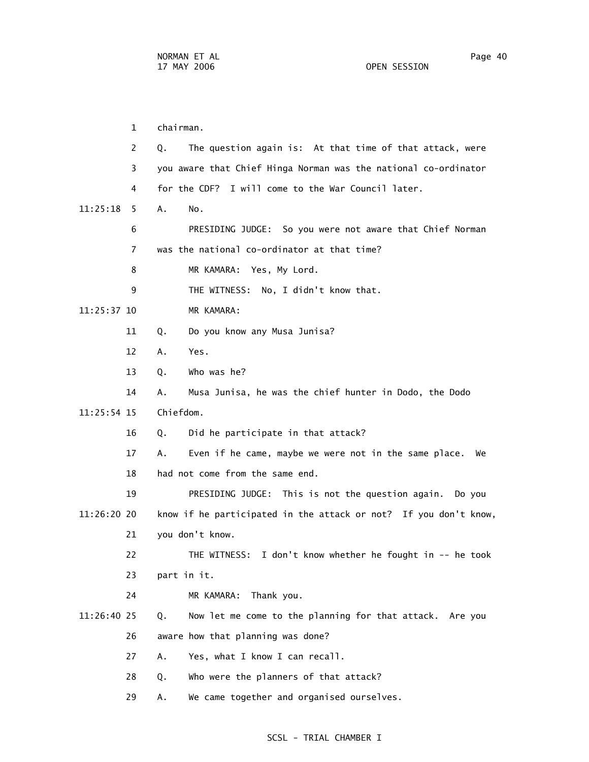1 chairman. 2 Q. The question again is: At that time of that attack, were 3 you aware that Chief Hinga Norman was the national co-ordinator 4 for the CDF? I will come to the War Council later. 11:25:18 5 A. No. 6 PRESIDING JUDGE: So you were not aware that Chief Norman 7 was the national co-ordinator at that time? 8 MR KAMARA: Yes, My Lord. 9 THE WITNESS: No, I didn't know that. 11:25:37 10 MR KAMARA: 11 Q. Do you know any Musa Junisa? 12 A. Yes. 13 Q. Who was he? 14 A. Musa Junisa, he was the chief hunter in Dodo, the Dodo 11:25:54 15 Chiefdom. 16 Q. Did he participate in that attack? 17 A. Even if he came, maybe we were not in the same place. We 18 had not come from the same end. 19 PRESIDING JUDGE: This is not the question again. Do you 11:26:20 20 know if he participated in the attack or not? If you don't know, 21 you don't know. 22 THE WITNESS: I don't know whether he fought in -- he took 23 part in it. 24 MR KAMARA: Thank you. 11:26:40 25 Q. Now let me come to the planning for that attack. Are you 26 aware how that planning was done? 27 A. Yes, what I know I can recall. 28 Q. Who were the planners of that attack?

29 A. We came together and organised ourselves.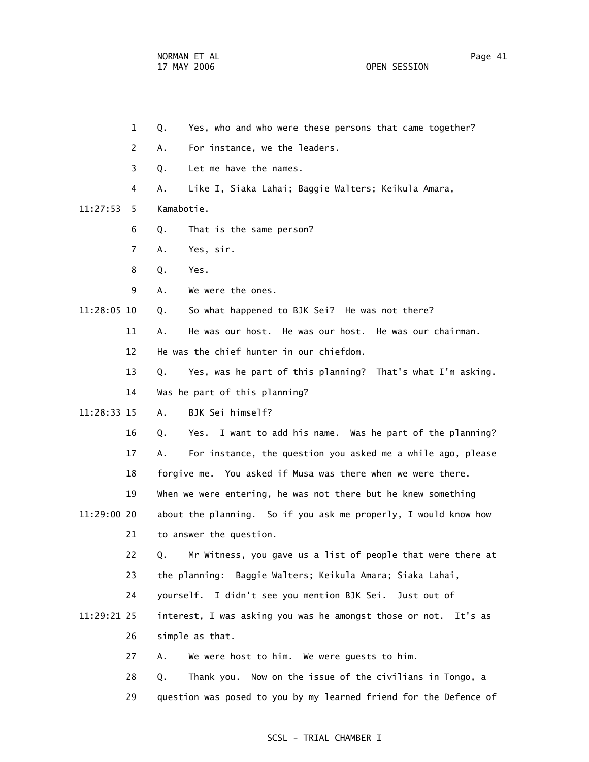2 A. For instance, we the leaders.

 3 Q. Let me have the names. 4 A. Like I, Siaka Lahai; Baggie Walters; Keikula Amara, 11:27:53 5 Kamabotie. 6 Q. That is the same person? 7 A. Yes, sir. 8 Q. Yes. 9 A. We were the ones. 11:28:05 10 Q. So what happened to BJK Sei? He was not there? 11 A. He was our host. He was our host. He was our chairman. 12 He was the chief hunter in our chiefdom. 13 Q. Yes, was he part of this planning? That's what I'm asking. 14 Was he part of this planning? 11:28:33 15 A. BJK Sei himself? 16 Q. Yes. I want to add his name. Was he part of the planning? 17 A. For instance, the question you asked me a while ago, please 18 forgive me. You asked if Musa was there when we were there. 19 When we were entering, he was not there but he knew something 11:29:00 20 about the planning. So if you ask me properly, I would know how 21 to answer the question. 22 Q. Mr Witness, you gave us a list of people that were there at 23 the planning: Baggie Walters; Keikula Amara; Siaka Lahai, 24 yourself. I didn't see you mention BJK Sei. Just out of 11:29:21 25 interest, I was asking you was he amongst those or not. It's as 26 simple as that. 27 A. We were host to him. We were guests to him. 28 Q. Thank you. Now on the issue of the civilians in Tongo, a 29 question was posed to you by my learned friend for the Defence of

1 Q. Yes, who and who were these persons that came together?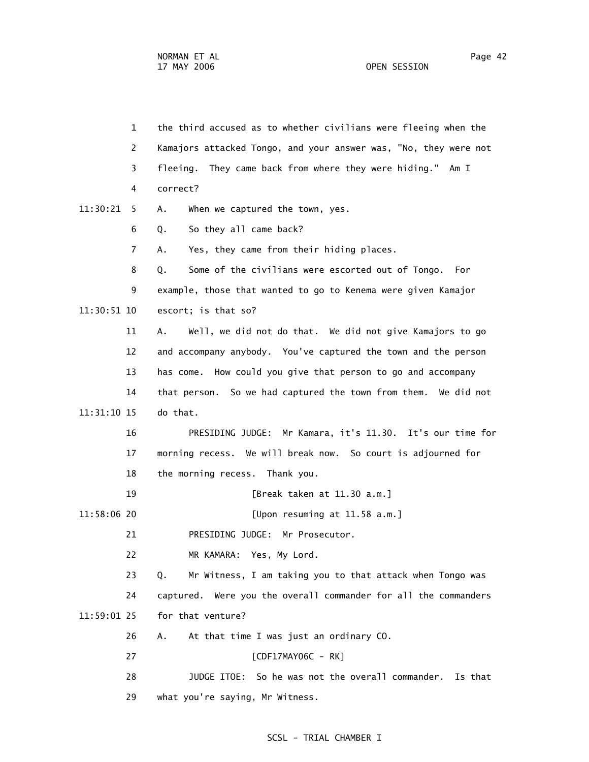1 the third accused as to whether civilians were fleeing when the 2 Kamajors attacked Tongo, and your answer was, "No, they were not 3 fleeing. They came back from where they were hiding." Am I 4 correct? 11:30:21 5 A. When we captured the town, yes. 6 Q. So they all came back? 7 A. Yes, they came from their hiding places. 8 Q. Some of the civilians were escorted out of Tongo. For 9 example, those that wanted to go to Kenema were given Kamajor 11:30:51 10 escort; is that so? 11 A. Well, we did not do that. We did not give Kamajors to go 12 and accompany anybody. You've captured the town and the person 13 has come. How could you give that person to go and accompany 14 that person. So we had captured the town from them. We did not 11:31:10 15 do that. 16 PRESIDING JUDGE: Mr Kamara, it's 11.30. It's our time for 17 morning recess. We will break now. So court is adjourned for 18 the morning recess. Thank you. 19 [Break taken at 11.30 a.m.] 11:58:06 20 [Upon resuming at 11.58 a.m.] 21 PRESIDING JUDGE: Mr Prosecutor. 22 MR KAMARA: Yes, My Lord. 23 Q. Mr Witness, I am taking you to that attack when Tongo was 24 captured. Were you the overall commander for all the commanders 11:59:01 25 for that venture? 26 A. At that time I was just an ordinary CO. 27 [CDF17MAY06C - RK] 28 JUDGE ITOE: So he was not the overall commander. Is that 29 what you're saying, Mr Witness.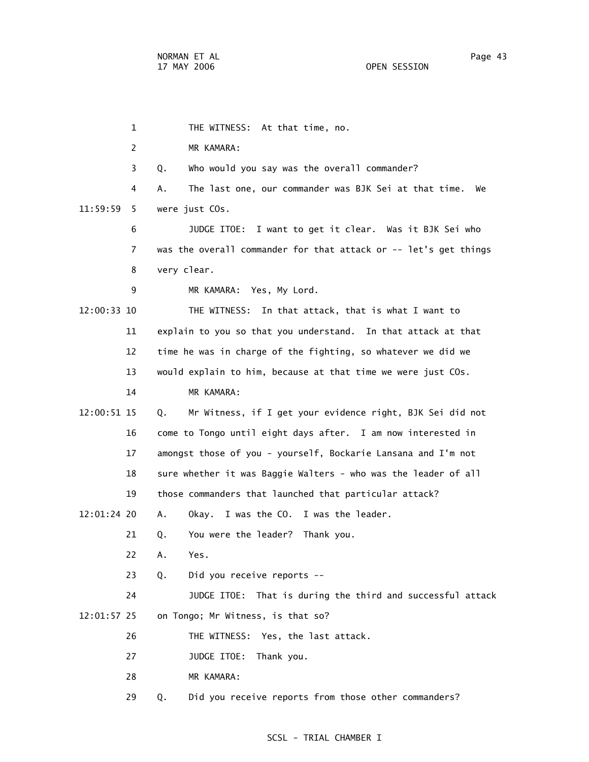1 THE WITNESS: At that time, no. 2 MR KAMARA: 3 Q. Who would you say was the overall commander? 4 A. The last one, our commander was BJK Sei at that time. We 11:59:59 5 were just COs. 6 JUDGE ITOE: I want to get it clear. Was it BJK Sei who 7 was the overall commander for that attack or -- let's get things 8 very clear. 9 MR KAMARA: Yes, My Lord. 12:00:33 10 THE WITNESS: In that attack, that is what I want to 11 explain to you so that you understand. In that attack at that 12 time he was in charge of the fighting, so whatever we did we 13 would explain to him, because at that time we were just COs. 14 MR KAMARA: 12:00:51 15 Q. Mr Witness, if I get your evidence right, BJK Sei did not 16 come to Tongo until eight days after. I am now interested in 17 amongst those of you - yourself, Bockarie Lansana and I'm not 18 sure whether it was Baggie Walters - who was the leader of all 19 those commanders that launched that particular attack? 12:01:24 20 A. Okay. I was the CO. I was the leader. 21 Q. You were the leader? Thank you. 22 A. Yes. 23 Q. Did you receive reports -- 24 JUDGE ITOE: That is during the third and successful attack 12:01:57 25 on Tongo; Mr Witness, is that so? 26 THE WITNESS: Yes, the last attack. 27 JUDGE ITOE: Thank you. 28 MR KAMARA: 29 Q. Did you receive reports from those other commanders?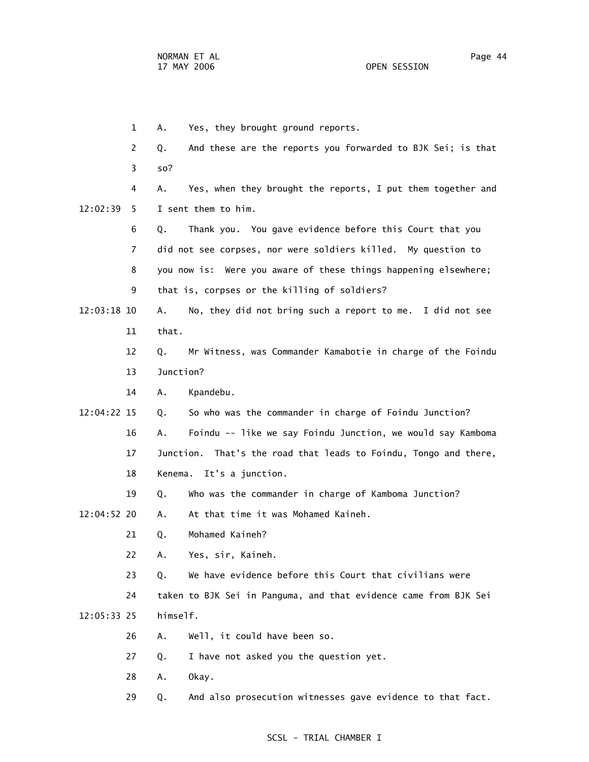1 A. Yes, they brought ground reports. 2 Q. And these are the reports you forwarded to BJK Sei; is that 3 so? 4 A. Yes, when they brought the reports, I put them together and 12:02:39 5 I sent them to him. 6 Q. Thank you. You gave evidence before this Court that you 7 did not see corpses, nor were soldiers killed. My question to 8 you now is: Were you aware of these things happening elsewhere; 9 that is, corpses or the killing of soldiers? 12:03:18 10 A. No, they did not bring such a report to me. I did not see 11 that. 12 Q. Mr Witness, was Commander Kamabotie in charge of the Foindu 13 Junction? 14 A. Kpandebu. 12:04:22 15 Q. So who was the commander in charge of Foindu Junction? 16 A. Foindu -- like we say Foindu Junction, we would say Kamboma 17 Junction. That's the road that leads to Foindu, Tongo and there, 18 Kenema. It's a junction. 19 Q. Who was the commander in charge of Kamboma Junction? 12:04:52 20 A. At that time it was Mohamed Kaineh. 21 Q. Mohamed Kaineh? 22 A. Yes, sir, Kaineh. 23 Q. We have evidence before this Court that civilians were 24 taken to BJK Sei in Panguma, and that evidence came from BJK Sei 12:05:33 25 himself. 26 A. Well, it could have been so. 27 Q. I have not asked you the question yet. 28 A. Okay.

29 Q. And also prosecution witnesses gave evidence to that fact.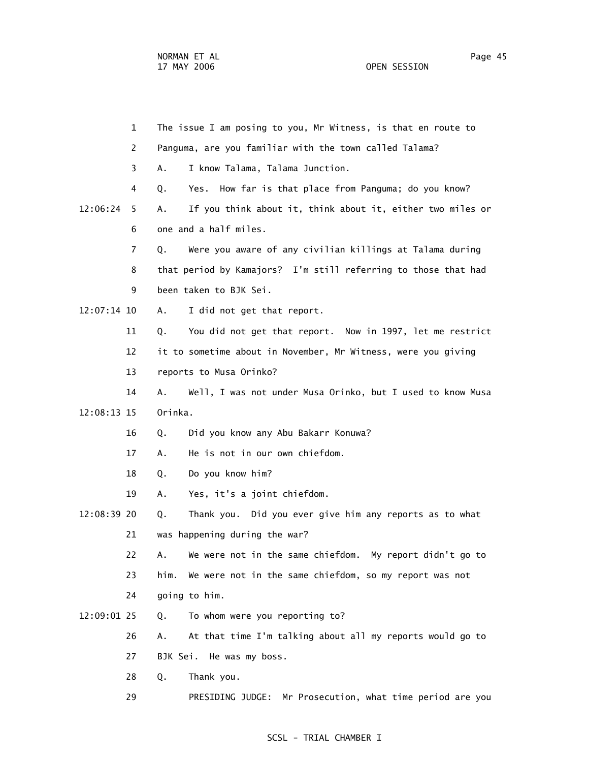|             | 1            |         | The issue I am posing to you, Mr Witness, is that en route to  |
|-------------|--------------|---------|----------------------------------------------------------------|
|             | $\mathbf{2}$ |         | Panguma, are you familiar with the town called Talama?         |
|             | 3            | А.      | I know Talama, Talama Junction.                                |
|             | 4            | Q.      | How far is that place from Panguma; do you know?<br>Yes.       |
| 12:06:24    | 5.           | А.      | If you think about it, think about it, either two miles or     |
|             | 6            |         | one and a half miles.                                          |
|             | 7            | Q.      | Were you aware of any civilian killings at Talama during       |
|             | 8            |         | that period by Kamajors? I'm still referring to those that had |
|             | 9            |         | been taken to BJK Sei.                                         |
| 12:07:14 10 |              | Α.      | I did not get that report.                                     |
|             | 11           | Q.      | You did not get that report. Now in 1997, let me restrict      |
|             | 12           |         | it to sometime about in November, Mr Witness, were you giving  |
|             | 13           |         | reports to Musa Orinko?                                        |
|             | 14           | A.      | Well, I was not under Musa Orinko, but I used to know Musa     |
| 12:08:13 15 |              | Orinka. |                                                                |
|             | 16           | Q.      | Did you know any Abu Bakarr Konuwa?                            |
|             | 17           | А.      | He is not in our own chiefdom.                                 |
|             | 18           | Q.      | Do you know him?                                               |
|             | 19           | Α.      | Yes, it's a joint chiefdom.                                    |
| 12:08:39 20 |              | Q.      | Thank you. Did you ever give him any reports as to what        |
|             | 21           |         | was happening during the war?                                  |
|             | 22           | А.      | We were not in the same chiefdom. My report didn't go to       |
|             | 23           | him.    | We were not in the same chiefdom, so my report was not         |
|             | 24           |         | going to him.                                                  |
| 12:09:01 25 |              | Q.      | To whom were you reporting to?                                 |
|             | 26           | А.      | At that time I'm talking about all my reports would go to      |
|             | 27           |         | BJK Sei. He was my boss.                                       |
|             | 28           | Q.      | Thank you.                                                     |
|             |              |         |                                                                |

29 PRESIDING JUDGE: Mr Prosecution, what time period are you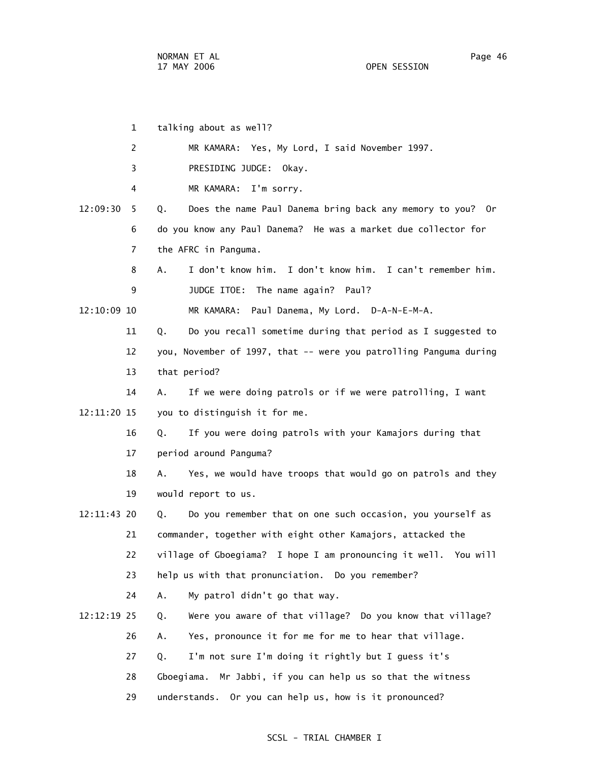1 talking about as well? 2 MR KAMARA: Yes, My Lord, I said November 1997. 3 PRESIDING JUDGE: Okay. 4 MR KAMARA: I'm sorry. 12:09:30 5 Q. Does the name Paul Danema bring back any memory to you? Or 6 do you know any Paul Danema? He was a market due collector for 7 the AFRC in Panguma. 8 A. I don't know him. I don't know him. I can't remember him. 9 **JUDGE ITOE:** The name again? Paul? 12:10:09 10 MR KAMARA: Paul Danema, My Lord. D-A-N-E-M-A. 11 Q. Do you recall sometime during that period as I suggested to 12 you, November of 1997, that -- were you patrolling Panguma during 13 that period? 14 A. If we were doing patrols or if we were patrolling, I want 12:11:20 15 you to distinguish it for me. 16 Q. If you were doing patrols with your Kamajors during that 17 period around Panguma? 18 A. Yes, we would have troops that would go on patrols and they 19 would report to us. 12:11:43 20 Q. Do you remember that on one such occasion, you yourself as 21 commander, together with eight other Kamajors, attacked the 22 village of Gboegiama? I hope I am pronouncing it well. You will 23 help us with that pronunciation. Do you remember? 24 A. My patrol didn't go that way. 12:12:19 25 Q. Were you aware of that village? Do you know that village? 26 A. Yes, pronounce it for me for me to hear that village. 27 Q. I'm not sure I'm doing it rightly but I guess it's 28 Gboegiama. Mr Jabbi, if you can help us so that the witness 29 understands. Or you can help us, how is it pronounced?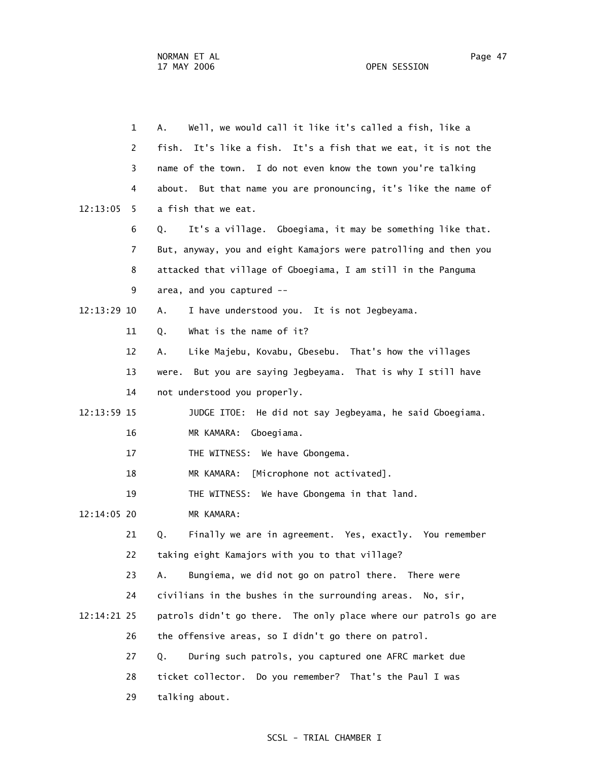| $\mathbf{1}$  | Well, we would call it like it's called a fish, like a<br>Α.      |
|---------------|-------------------------------------------------------------------|
| 2             | It's like a fish. It's a fish that we eat, it is not the<br>fish. |
| 3             | name of the town. I do not even know the town you're talking      |
| 4             | about. But that name you are pronouncing, it's like the name of   |
| 12:13:05<br>5 | a fish that we eat.                                               |
| 6             | It's a village. Gboegiama, it may be something like that.<br>Q.   |
| 7             | But, anyway, you and eight Kamajors were patrolling and then you  |
| 8             | attacked that village of Gboegiama, I am still in the Panguma     |
| 9             | area, and you captured --                                         |
| 12:13:29 10   | I have understood you. It is not Jegbeyama.<br>Α.                 |
| 11            | What is the name of it?<br>Q.                                     |
| 12            | Like Majebu, Kovabu, Gbesebu. That's how the villages<br>Α.       |
| 13            | But you are saying Jegbeyama. That is why I still have<br>were.   |
| 14            | not understood you properly.                                      |
| 12:13:59 15   | JUDGE ITOE: He did not say Jegbeyama, he said Gboegiama.          |
| 16            | MR KAMARA:<br>Gboegiama.                                          |
| 17            | THE WITNESS: We have Gbongema.                                    |
| 18            | [Microphone not activated].<br>MR KAMARA:                         |
| 19            | THE WITNESS: We have Gbongema in that land.                       |
| 12:14:05 20   | MR KAMARA:                                                        |
| 21            | Finally we are in agreement. Yes, exactly. You remember<br>Q.     |
| 22            | taking eight Kamajors with you to that village?                   |
| 23            | Bungiema, we did not go on patrol there. There were<br>А.         |
| 24            | civilians in the bushes in the surrounding areas.<br>No, sir,     |
| 12:14:21 25   | patrols didn't go there. The only place where our patrols go are  |
| 26            | the offensive areas, so I didn't go there on patrol.              |
| 27            | During such patrols, you captured one AFRC market due<br>Q.       |
| 28            | ticket collector. Do you remember? That's the Paul I was          |
| 29            | talking about.                                                    |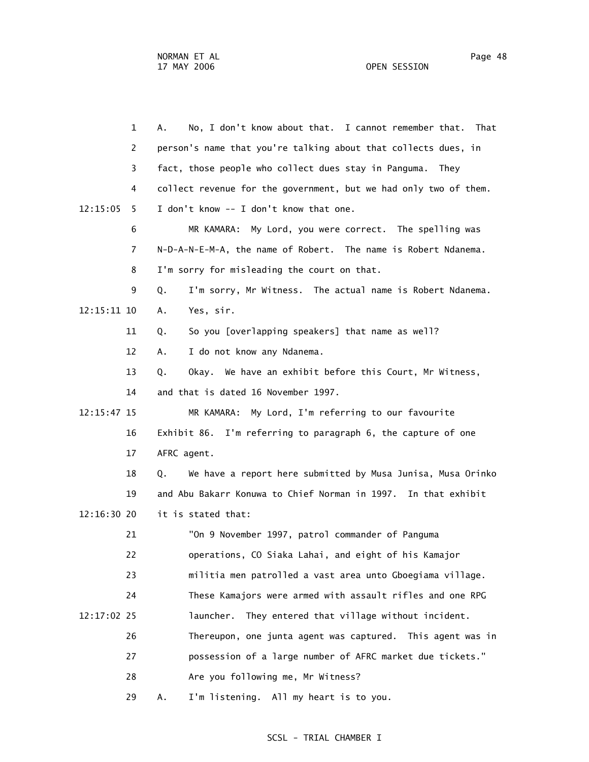1 A. No, I don't know about that. I cannot remember that. That 2 person's name that you're talking about that collects dues, in 3 fact, those people who collect dues stay in Panguma. They 4 collect revenue for the government, but we had only two of them.  $12:15:05$  5 I don't know  $-$ - I don't know that one. 6 MR KAMARA: My Lord, you were correct. The spelling was 7 N-D-A-N-E-M-A, the name of Robert. The name is Robert Ndanema. 8 I'm sorry for misleading the court on that. 9 Q. I'm sorry, Mr Witness. The actual name is Robert Ndanema. 12:15:11 10 A. Yes, sir. 11 Q. So you [overlapping speakers] that name as well? 12 A. I do not know any Ndanema. 13 Q. Okay. We have an exhibit before this Court, Mr Witness, 14 and that is dated 16 November 1997. 12:15:47 15 MR KAMARA: My Lord, I'm referring to our favourite 16 Exhibit 86. I'm referring to paragraph 6, the capture of one 17 AFRC agent. 18 Q. We have a report here submitted by Musa Junisa, Musa Orinko 19 and Abu Bakarr Konuwa to Chief Norman in 1997. In that exhibit 12:16:30 20 it is stated that: 21 "On 9 November 1997, patrol commander of Panguma 22 operations, CO Siaka Lahai, and eight of his Kamajor 23 militia men patrolled a vast area unto Gboegiama village. 24 These Kamajors were armed with assault rifles and one RPG 12:17:02 25 launcher. They entered that village without incident. 26 Thereupon, one junta agent was captured. This agent was in 27 possession of a large number of AFRC market due tickets." 28 Are you following me, Mr Witness? 29 A. I'm listening. All my heart is to you.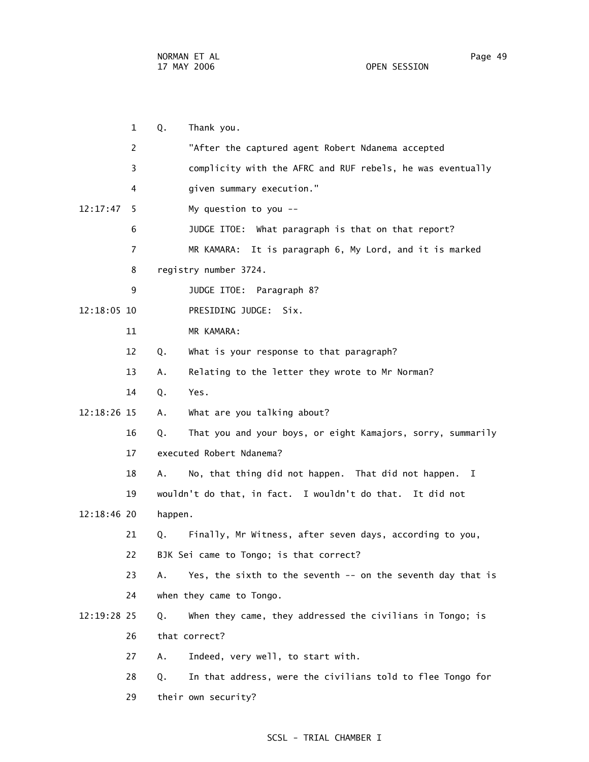1 Q. Thank you. 2 "After the captured agent Robert Ndanema accepted 3 complicity with the AFRC and RUF rebels, he was eventually 4 given summary execution." 12:17:47 5 My question to you -- 6 JUDGE ITOE: What paragraph is that on that report? 7 MR KAMARA: It is paragraph 6, My Lord, and it is marked 8 registry number 3724. 9 JUDGE ITOE: Paragraph 8? 12:18:05 10 PRESIDING JUDGE: Six. 11 MR KAMARA: 12 Q. What is your response to that paragraph? 13 A. Relating to the letter they wrote to Mr Norman? 14 Q. Yes. 12:18:26 15 A. What are you talking about? 16 Q. That you and your boys, or eight Kamajors, sorry, summarily 17 executed Robert Ndanema? 18 A. No, that thing did not happen. That did not happen. I 19 wouldn't do that, in fact. I wouldn't do that. It did not 12:18:46 20 happen. 21 Q. Finally, Mr Witness, after seven days, according to you, 22 BJK Sei came to Tongo; is that correct? 23 A. Yes, the sixth to the seventh -- on the seventh day that is 24 when they came to Tongo. 12:19:28 25 Q. When they came, they addressed the civilians in Tongo; is 26 that correct? 27 A. Indeed, very well, to start with. 28 Q. In that address, were the civilians told to flee Tongo for 29 their own security?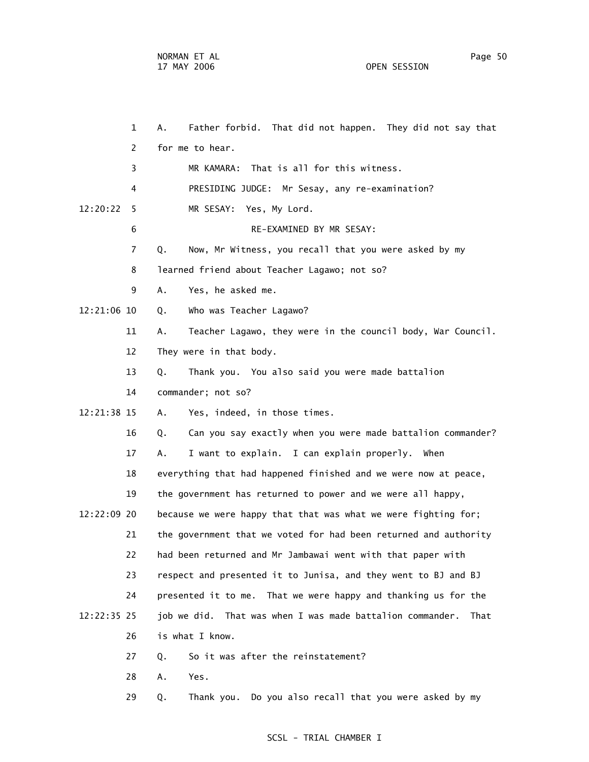1 A. Father forbid. That did not happen. They did not say that 2 for me to hear. 3 MR KAMARA: That is all for this witness. 4 PRESIDING JUDGE: Mr Sesay, any re-examination? 12:20:22 5 MR SESAY: Yes, My Lord. 6 RE-EXAMINED BY MR SESAY: 7 Q. Now, Mr Witness, you recall that you were asked by my 8 learned friend about Teacher Lagawo; not so? 9 A. Yes, he asked me. 12:21:06 10 Q. Who was Teacher Lagawo? 11 A. Teacher Lagawo, they were in the council body, War Council. 12 They were in that body. 13 Q. Thank you. You also said you were made battalion 14 commander; not so? 12:21:38 15 A. Yes, indeed, in those times. 16 Q. Can you say exactly when you were made battalion commander? 17 A. I want to explain. I can explain properly. When 18 everything that had happened finished and we were now at peace, 19 the government has returned to power and we were all happy, 12:22:09 20 because we were happy that that was what we were fighting for; 21 the government that we voted for had been returned and authority 22 had been returned and Mr Jambawai went with that paper with 23 respect and presented it to Junisa, and they went to BJ and BJ 24 presented it to me. That we were happy and thanking us for the 12:22:35 25 job we did. That was when I was made battalion commander. That 26 is what I know. 27 0. So it was after the reinstatement? 28 A. Yes.

29 Q. Thank you. Do you also recall that you were asked by my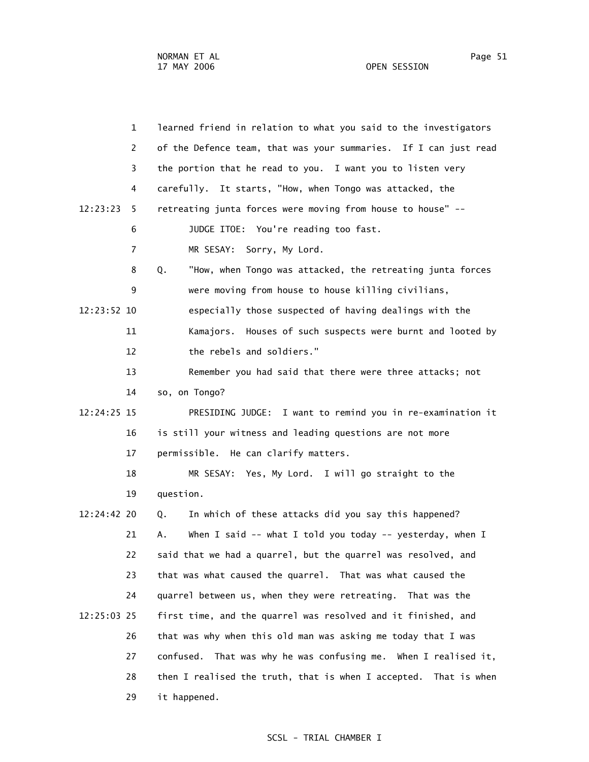| $\mathbf{1}$   | learned friend in relation to what you said to the investigators   |
|----------------|--------------------------------------------------------------------|
| 2              | of the Defence team, that was your summaries. If I can just read   |
| 3              | the portion that he read to you. I want you to listen very         |
| 4              | carefully. It starts, "How, when Tongo was attacked, the           |
| 12:23:23<br>5  | retreating junta forces were moving from house to house" --        |
| 6              | JUDGE ITOE: You're reading too fast.                               |
| $\overline{7}$ | MR SESAY: Sorry, My Lord.                                          |
| 8              | "How, when Tongo was attacked, the retreating junta forces<br>Q.   |
| 9              | were moving from house to house killing civilians,                 |
| 12:23:52 10    | especially those suspected of having dealings with the             |
| 11             | Kamajors. Houses of such suspects were burnt and looted by         |
| 12             | the rebels and soldiers."                                          |
| 13             | Remember you had said that there were three attacks; not           |
| 14             | so, on Tongo?                                                      |
| 12:24:25 15    | PRESIDING JUDGE: I want to remind you in re-examination it         |
| 16             | is still your witness and leading questions are not more           |
| 17             | permissible. He can clarify matters.                               |
| 18             | MR SESAY: Yes, My Lord. I will go straight to the                  |
| 19             | question.                                                          |
| 12:24:42 20    | In which of these attacks did you say this happened?<br>Q.         |
| 21             | When I said -- what I told you today -- yesterday, when I<br>А.    |
| 22             | said that we had a quarrel, but the quarrel was resolved, and      |
| 23             | that was what caused the quarrel. That was what caused the         |
| 24             | quarrel between us, when they were retreating. That was the        |
| 12:25:03 25    | first time, and the quarrel was resolved and it finished, and      |
| 26             | that was why when this old man was asking me today that I was      |
| 27             | That was why he was confusing me. When I realised it,<br>confused. |
| 28             | then I realised the truth, that is when I accepted. That is when   |
| 29             | it happened.                                                       |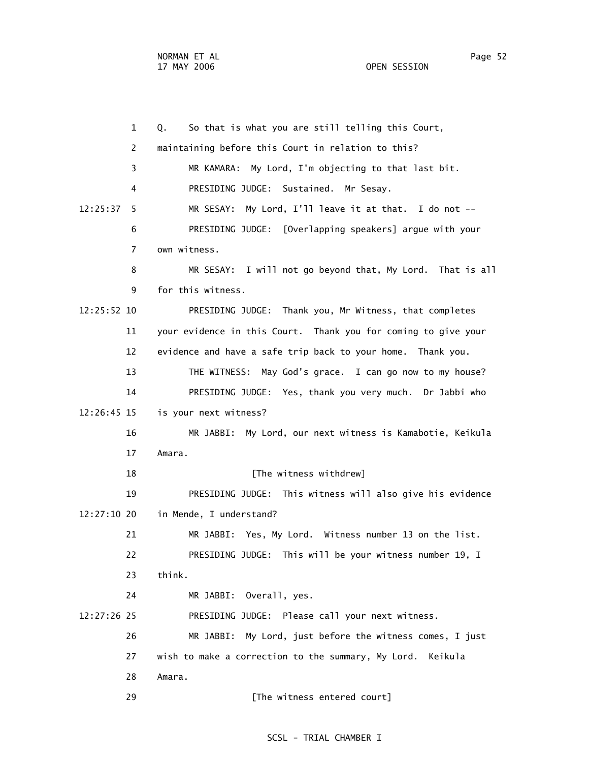1 Q. So that is what you are still telling this Court, 2 maintaining before this Court in relation to this? 3 MR KAMARA: My Lord, I'm objecting to that last bit. 4 PRESIDING JUDGE: Sustained. Mr Sesay. 12:25:37 5 MR SESAY: My Lord, I'll leave it at that. I do not -- 6 PRESIDING JUDGE: [Overlapping speakers] argue with your 7 own witness. 8 MR SESAY: I will not go beyond that, My Lord. That is all 9 for this witness. 12:25:52 10 PRESIDING JUDGE: Thank you, Mr Witness, that completes 11 your evidence in this Court. Thank you for coming to give your 12 evidence and have a safe trip back to your home. Thank you. 13 THE WITNESS: May God's grace. I can go now to my house? 14 PRESIDING JUDGE: Yes, thank you very much. Dr Jabbi who 12:26:45 15 is your next witness? 16 MR JABBI: My Lord, our next witness is Kamabotie, Keikula 17 Amara. 18 **I** [The witness withdrew] 19 PRESIDING JUDGE: This witness will also give his evidence 12:27:10 20 in Mende, I understand? 21 MR JABBI: Yes, My Lord. Witness number 13 on the list. 22 PRESIDING JUDGE: This will be your witness number 19, I 23 think. 24 MR JABBI: Overall, yes. 12:27:26 25 PRESIDING JUDGE: Please call your next witness. 26 MR JABBI: My Lord, just before the witness comes, I just 27 wish to make a correction to the summary, My Lord. Keikula 28 Amara. 29 **[The witness entered court]**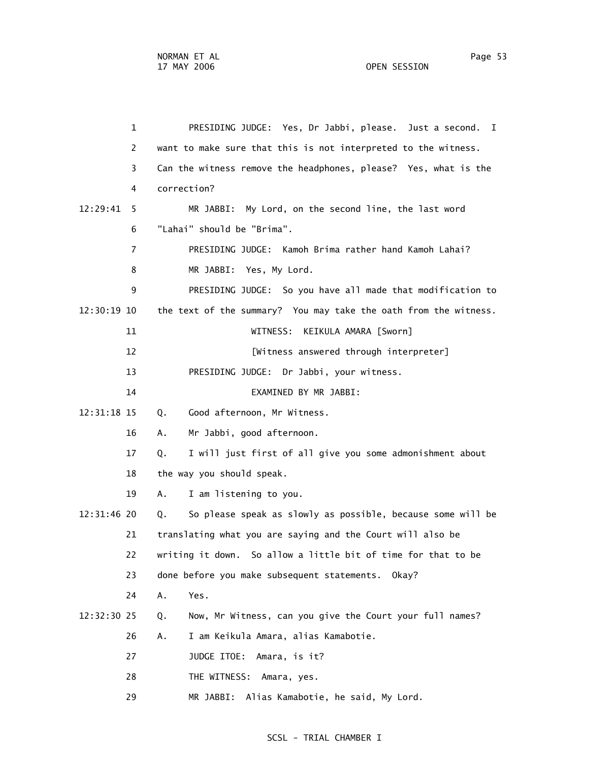|             | $\mathbf{1}$   | PRESIDING JUDGE: Yes, Dr Jabbi, please. Just a second. I          |
|-------------|----------------|-------------------------------------------------------------------|
|             | 2              | want to make sure that this is not interpreted to the witness.    |
|             | 3              | Can the witness remove the headphones, please? Yes, what is the   |
|             | 4              | correction?                                                       |
| 12:29:41    | 5              | MR JABBI: My Lord, on the second line, the last word              |
|             | 6              | "Lahai" should be "Brima".                                        |
|             | $\overline{7}$ | PRESIDING JUDGE: Kamoh Brima rather hand Kamoh Lahai?             |
|             | 8              | MR JABBI: Yes, My Lord.                                           |
|             | 9              | PRESIDING JUDGE: So you have all made that modification to        |
| 12:30:19 10 |                | the text of the summary? You may take the oath from the witness.  |
|             | 11             | WITNESS:<br>KEIKULA AMARA [Sworn]                                 |
|             | 12             | [Witness answered through interpreter]                            |
|             | 13             | PRESIDING JUDGE: Dr Jabbi, your witness.                          |
|             | 14             | EXAMINED BY MR JABBI:                                             |
| 12:31:18 15 |                | Good afternoon, Mr Witness.<br>Q.                                 |
|             | 16             | Mr Jabbi, good afternoon.<br>А.                                   |
|             | 17             | I will just first of all give you some admonishment about<br>Q.   |
|             | 18             | the way you should speak.                                         |
|             | 19             | Α.<br>I am listening to you.                                      |
| 12:31:46 20 |                | So please speak as slowly as possible, because some will be<br>Q. |
|             | 21             | translating what you are saying and the Court will also be        |
|             | 22             | writing it down. So allow a little bit of time for that to be     |
|             | 23             | done before you make subsequent statements. Okay?                 |
|             | 24             | Α.<br>Yes.                                                        |
| 12:32:30 25 |                | Now, Mr Witness, can you give the Court your full names?<br>Q.    |
|             | 26             | I am Keikula Amara, alias Kamabotie.<br>Α.                        |
|             | 27             | JUDGE ITOE:<br>Amara, is it?                                      |
|             | 28             | THE WITNESS:<br>Amara, yes.                                       |
|             | 29             | MR JABBI:<br>Alias Kamabotie, he said, My Lord.                   |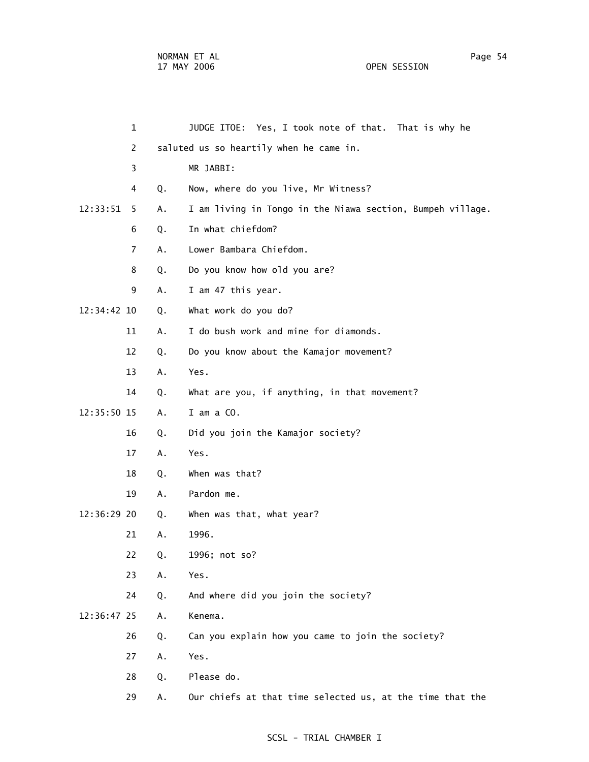| 1              |    | JUDGE ITOE: Yes, I took note of that. That is why he       |
|----------------|----|------------------------------------------------------------|
| 2              |    | saluted us so heartily when he came in.                    |
| 3              |    | MR JABBI:                                                  |
| 4              | Q. | Now, where do you live, Mr Witness?                        |
| 12:33:51<br>5. | А. | I am living in Tongo in the Niawa section, Bumpeh village. |
| 6              | Q. | In what chiefdom?                                          |
| 7              | Α. | Lower Bambara Chiefdom.                                    |
| 8              | Q. | Do you know how old you are?                               |
| 9              | Α. | I am 47 this year.                                         |
| 12:34:42 10    | Q. | What work do you do?                                       |
| 11             | Α. | I do bush work and mine for diamonds.                      |
| 12             | Q. | Do you know about the Kamajor movement?                    |
| 13             | Α. | Yes.                                                       |
| 14             | Q. | What are you, if anything, in that movement?               |
| 12:35:50 15    | Α. | I am a CO.                                                 |
| 16             | Q. | Did you join the Kamajor society?                          |
| 17             | Α. | Yes.                                                       |
| 18             | Q. | When was that?                                             |
| 19             | Α. | Pardon me.                                                 |
| 12:36:29 20    | Q. | When was that, what year?                                  |
| 21             | А. | 1996.                                                      |
| 22             | Q. | 1996; not so?                                              |
| 23             | Α. | Yes.                                                       |
| 24             | Q. | And where did you join the society?                        |
| 12:36:47 25    | Α. | Kenema.                                                    |
| 26             | Q. | Can you explain how you came to join the society?          |
| 27             | Α. | Yes.                                                       |
| 28             | Q. | Please do.                                                 |
| 29             | Α. | Our chiefs at that time selected us, at the time that the  |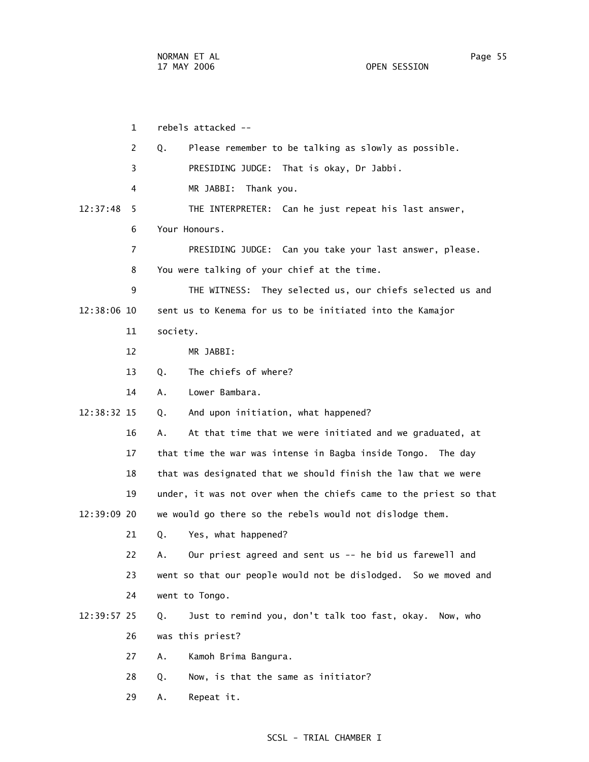1 rebels attacked -- 2 Q. Please remember to be talking as slowly as possible. 3 PRESIDING JUDGE: That is okay, Dr Jabbi. 4 MR JABBI: Thank you. 12:37:48 5 THE INTERPRETER: Can he just repeat his last answer, 6 Your Honours. 7 PRESIDING JUDGE: Can you take your last answer, please. 8 You were talking of your chief at the time. 9 THE WITNESS: They selected us, our chiefs selected us and 12:38:06 10 sent us to Kenema for us to be initiated into the Kamajor 11 society. 12 MR JABBI: 13 Q. The chiefs of where? 14 A. Lower Bambara. 12:38:32 15 Q. And upon initiation, what happened? 16 A. At that time that we were initiated and we graduated, at 17 that time the war was intense in Bagba inside Tongo. The day 18 that was designated that we should finish the law that we were 19 under, it was not over when the chiefs came to the priest so that 12:39:09 20 we would go there so the rebels would not dislodge them. 21 Q. Yes, what happened? 22 A. Our priest agreed and sent us -- he bid us farewell and 23 went so that our people would not be dislodged. So we moved and 24 went to Tongo. 12:39:57 25 Q. Just to remind you, don't talk too fast, okay. Now, who 26 was this priest? 27 A. Kamoh Brima Bangura. 28 Q. Now, is that the same as initiator? 29 A. Repeat it.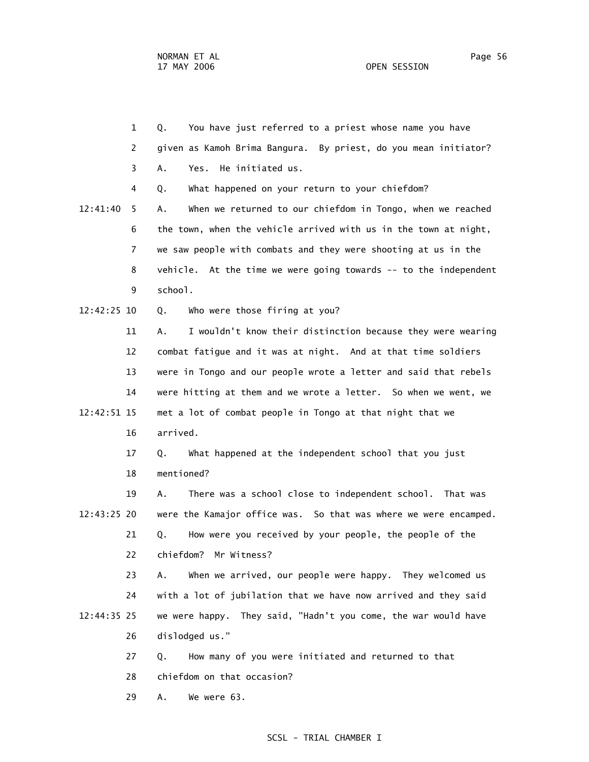29 A. We were 63.

 1 Q. You have just referred to a priest whose name you have 2 given as Kamoh Brima Bangura. By priest, do you mean initiator? 3 A. Yes. He initiated us. 4 Q. What happened on your return to your chiefdom? 12:41:40 5 A. When we returned to our chiefdom in Tongo, when we reached 6 the town, when the vehicle arrived with us in the town at night, 7 we saw people with combats and they were shooting at us in the 8 vehicle. At the time we were going towards -- to the independent 9 school. 12:42:25 10 Q. Who were those firing at you? 11 A. I wouldn't know their distinction because they were wearing 12 combat fatigue and it was at night. And at that time soldiers 13 were in Tongo and our people wrote a letter and said that rebels 14 were hitting at them and we wrote a letter. So when we went, we 12:42:51 15 met a lot of combat people in Tongo at that night that we 16 arrived. 17 Q. What happened at the independent school that you just 18 mentioned? 19 A. There was a school close to independent school. That was 12:43:25 20 were the Kamajor office was. So that was where we were encamped. 21 Q. How were you received by your people, the people of the 22 chiefdom? Mr Witness? 23 A. When we arrived, our people were happy. They welcomed us 24 with a lot of jubilation that we have now arrived and they said 12:44:35 25 we were happy. They said, "Hadn't you come, the war would have 26 dislodged us." 27 Q. How many of you were initiated and returned to that 28 chiefdom on that occasion?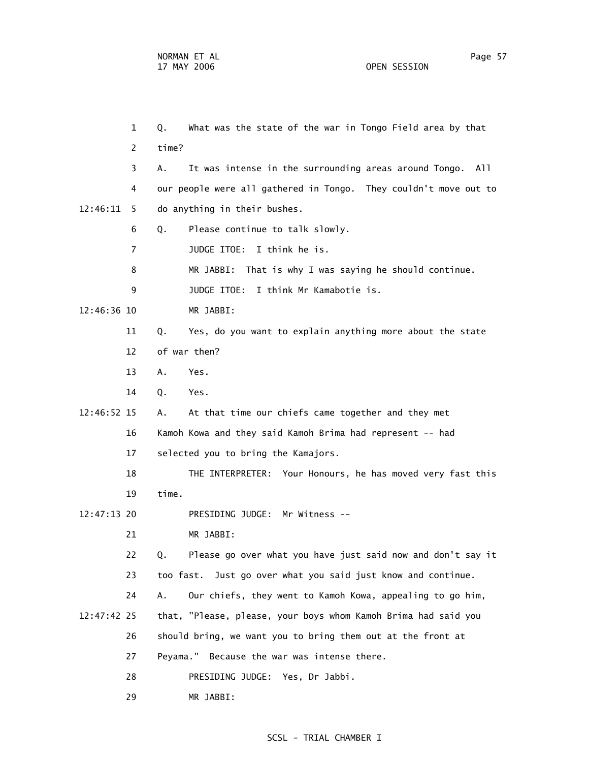1 Q. What was the state of the war in Tongo Field area by that 2 time? 3 A. It was intense in the surrounding areas around Tongo. All 4 our people were all gathered in Tongo. They couldn't move out to 12:46:11 5 do anything in their bushes. 6 Q. Please continue to talk slowly. 7 JUDGE ITOE: I think he is. 8 MR JABBI: That is why I was saying he should continue. 9 JUDGE ITOE: I think Mr Kamabotie is. 12:46:36 10 MR JABBI: 11 Q. Yes, do you want to explain anything more about the state 12 of war then? 13 A. Yes. 14 Q. Yes. 12:46:52 15 A. At that time our chiefs came together and they met 16 Kamoh Kowa and they said Kamoh Brima had represent -- had 17 selected you to bring the Kamajors. 18 THE INTERPRETER: Your Honours, he has moved very fast this 19 time. 12:47:13 20 PRESIDING JUDGE: Mr Witness -- 21 MR JABBI: 22 Q. Please go over what you have just said now and don't say it 23 too fast. Just go over what you said just know and continue. 24 A. Our chiefs, they went to Kamoh Kowa, appealing to go him, 12:47:42 25 that, "Please, please, your boys whom Kamoh Brima had said you 26 should bring, we want you to bring them out at the front at 27 Peyama." Because the war was intense there. 28 PRESIDING JUDGE: Yes, Dr Jabbi. 29 MR JABBI: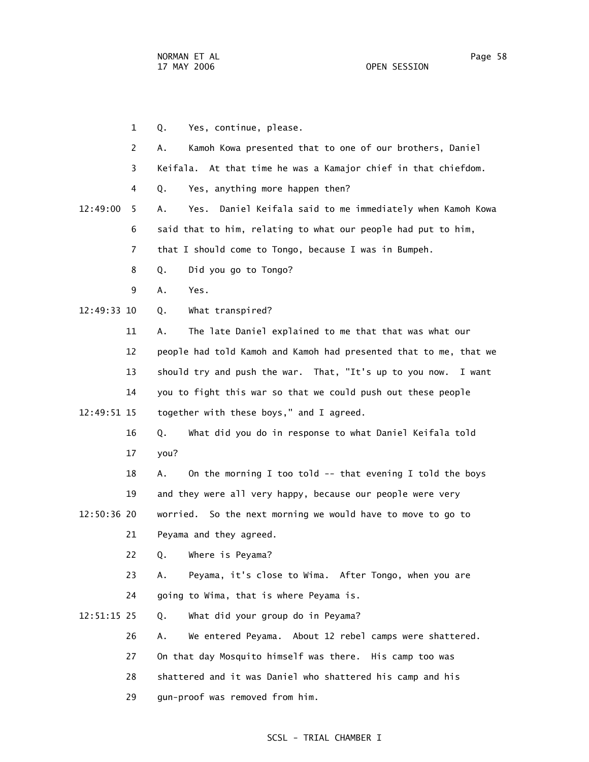- 1 Q. Yes, continue, please. 2 A. Kamoh Kowa presented that to one of our brothers, Daniel 3 Keifala. At that time he was a Kamajor chief in that chiefdom. 4 Q. Yes, anything more happen then? 12:49:00 5 A. Yes. Daniel Keifala said to me immediately when Kamoh Kowa 6 said that to him, relating to what our people had put to him, 7 that I should come to Tongo, because I was in Bumpeh. 8 Q. Did you go to Tongo? 9 A. Yes. 12:49:33 10 Q. What transpired? 11 A. The late Daniel explained to me that that was what our 12 people had told Kamoh and Kamoh had presented that to me, that we 13 should try and push the war. That, "It's up to you now. I want 14 you to fight this war so that we could push out these people 12:49:51 15 together with these boys," and I agreed. 16 Q. What did you do in response to what Daniel Keifala told 17 you? 18 A. On the morning I too told -- that evening I told the boys 19 and they were all very happy, because our people were very 12:50:36 20 worried. So the next morning we would have to move to go to 21 Peyama and they agreed. 22 Q. Where is Peyama? 23 A. Peyama, it's close to Wima. After Tongo, when you are 24 going to Wima, that is where Peyama is. 12:51:15 25 Q. What did your group do in Peyama? 26 A. We entered Peyama. About 12 rebel camps were shattered. 27 On that day Mosquito himself was there. His camp too was 28 shattered and it was Daniel who shattered his camp and his
	- 29 gun-proof was removed from him.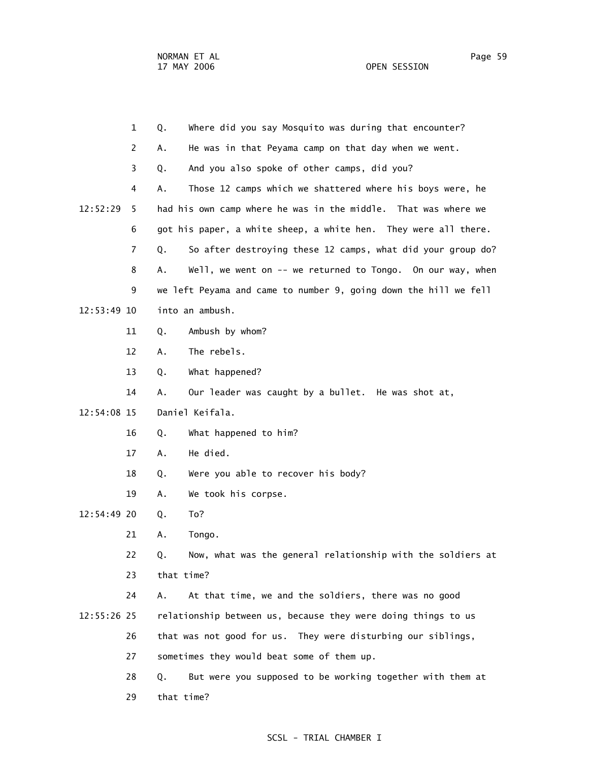|             | $\mathbf{1}$   | Where did you say Mosquito was during that encounter?<br>Q.       |
|-------------|----------------|-------------------------------------------------------------------|
|             | 2              | He was in that Peyama camp on that day when we went.<br>Α.        |
|             | 3              | And you also spoke of other camps, did you?<br>Q.                 |
|             | 4              | Α.<br>Those 12 camps which we shattered where his boys were, he   |
| 12:52:29    | 5.             | had his own camp where he was in the middle. That was where we    |
|             | 6              | got his paper, a white sheep, a white hen. They were all there.   |
|             | $\overline{7}$ | So after destroying these 12 camps, what did your group do?<br>Q. |
|             | 8              | Well, we went on -- we returned to Tongo. On our way, when<br>Α.  |
|             | 9              | we left Peyama and came to number 9, going down the hill we fell  |
| 12:53:49 10 |                | into an ambush.                                                   |
|             | 11             | Ambush by whom?<br>Q.                                             |
|             | 12             | The rebels.<br>Α.                                                 |
|             | 13             | What happened?<br>Q.                                              |
|             | 14             | Our leader was caught by a bullet. He was shot at,<br>Α.          |
| 12:54:08 15 |                | Daniel Keifala.                                                   |
|             | 16             | What happened to him?<br>Q.                                       |
|             | 17             | He died.<br>Α.                                                    |
|             | 18             | Were you able to recover his body?<br>Q.                          |
|             | 19             | We took his corpse.<br>Α.                                         |
| 12:54:49 20 |                | To?<br>Q.                                                         |
|             | 21             | Tongo.<br>Α.                                                      |
|             | 22             | Now, what was the general relationship with the soldiers at<br>Q. |
|             | 23             | that time?                                                        |
|             | 24             | At that time, we and the soldiers, there was no good<br>Α.        |
| 12:55:26 25 |                | relationship between us, because they were doing things to us     |
|             | 26             | that was not good for us. They were disturbing our siblings,      |
|             | 27             | sometimes they would beat some of them up.                        |
|             | 28             | But were you supposed to be working together with them at<br>Q.   |
|             | 29             | that time?                                                        |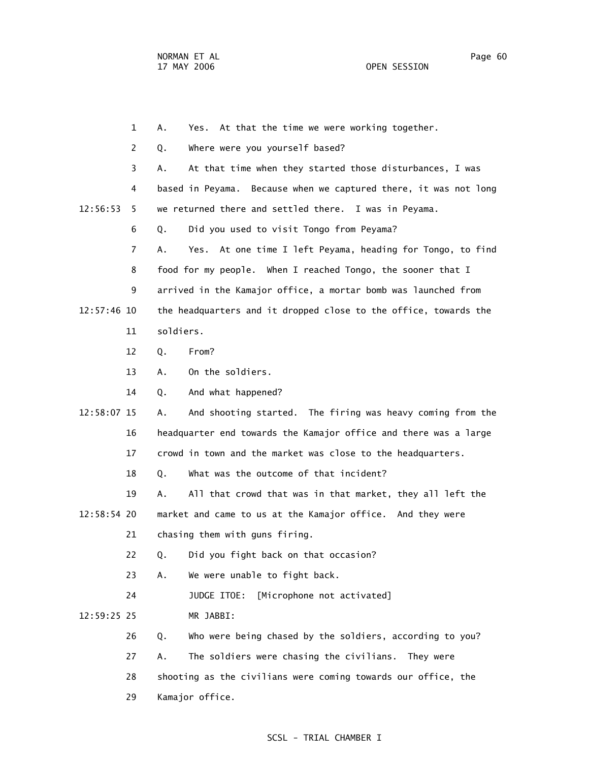1 A. Yes. At that the time we were working together. 2 Q. Where were you yourself based? 3 A. At that time when they started those disturbances, I was 4 based in Peyama. Because when we captured there, it was not long 12:56:53 5 we returned there and settled there. I was in Peyama. 6 Q. Did you used to visit Tongo from Peyama? 7 A. Yes. At one time I left Peyama, heading for Tongo, to find 8 food for my people. When I reached Tongo, the sooner that I 9 arrived in the Kamajor office, a mortar bomb was launched from 12:57:46 10 the headquarters and it dropped close to the office, towards the 11 soldiers. 12 Q. From? 13 A. On the soldiers. 14 Q. And what happened? 12:58:07 15 A. And shooting started. The firing was heavy coming from the 16 headquarter end towards the Kamajor office and there was a large 17 crowd in town and the market was close to the headquarters. 18 Q. What was the outcome of that incident? 19 A. All that crowd that was in that market, they all left the 12:58:54 20 market and came to us at the Kamajor office. And they were 21 chasing them with guns firing. 22 Q. Did you fight back on that occasion? 23 A. We were unable to fight back. 24 JUDGE ITOE: [Microphone not activated] 12:59:25 25 MR JABBI: 26 Q. Who were being chased by the soldiers, according to you? 27 A. The soldiers were chasing the civilians. They were 28 shooting as the civilians were coming towards our office, the 29 Kamajor office.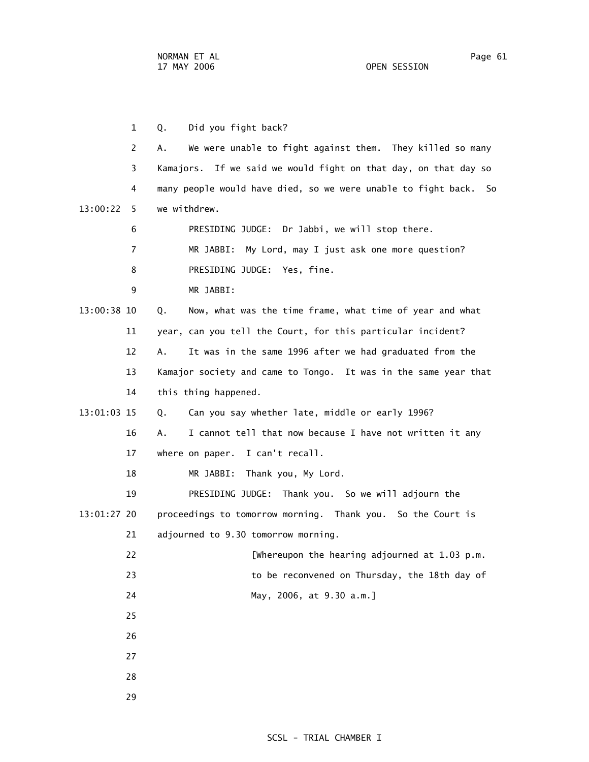1 Q. Did you fight back? 2 A. We were unable to fight against them. They killed so many 3 Kamajors. If we said we would fight on that day, on that day so 4 many people would have died, so we were unable to fight back. So 13:00:22 5 we withdrew. 6 PRESIDING JUDGE: Dr Jabbi, we will stop there. 7 MR JABBI: My Lord, may I just ask one more question? 8 PRESIDING JUDGE: Yes, fine. 9 MR JABBI: 13:00:38 10 Q. Now, what was the time frame, what time of year and what 11 year, can you tell the Court, for this particular incident? 12 A. It was in the same 1996 after we had graduated from the 13 Kamajor society and came to Tongo. It was in the same year that 14 this thing happened. 13:01:03 15 Q. Can you say whether late, middle or early 1996? 16 A. I cannot tell that now because I have not written it any 17 where on paper. I can't recall. 18 MR JABBI: Thank you, My Lord. 19 PRESIDING JUDGE: Thank you. So we will adjourn the 13:01:27 20 proceedings to tomorrow morning. Thank you. So the Court is 21 adjourned to 9.30 tomorrow morning. 22 [Whereupon the hearing adjourned at 1.03 p.m. 23 to be reconvened on Thursday, the 18th day of 24 May, 2006, at 9.30 a.m.] 25 26 27 28 29